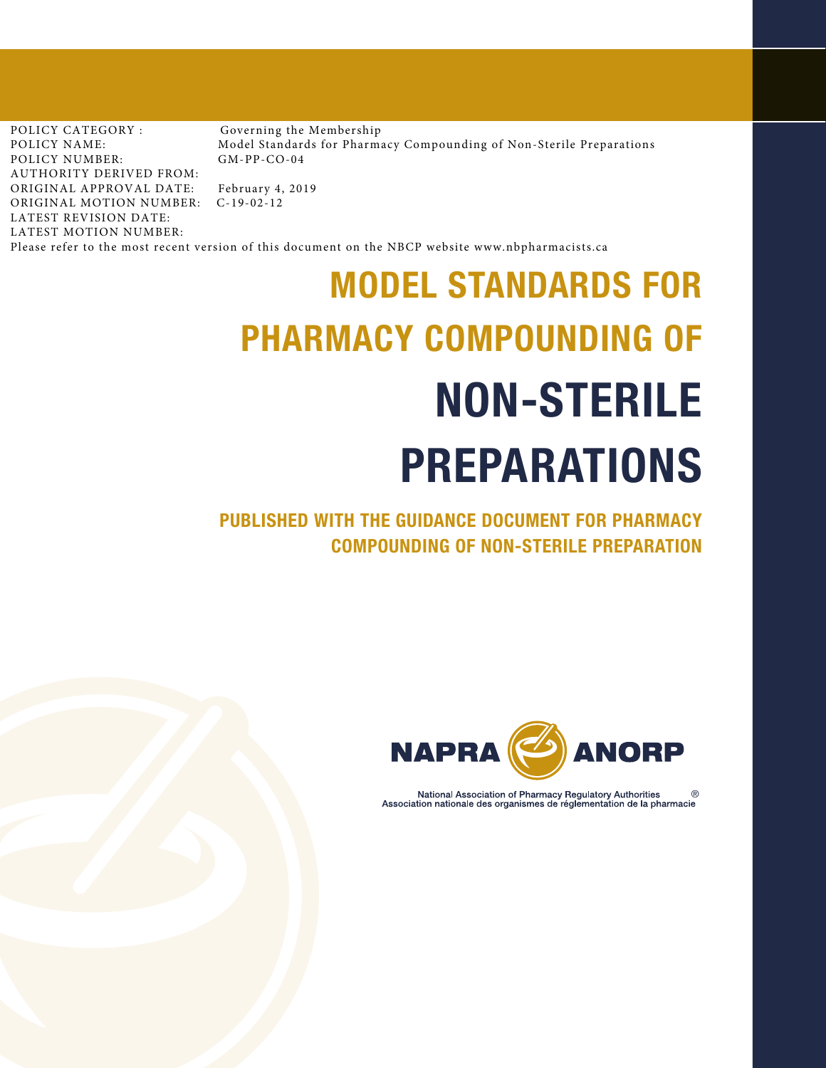POLICY CATEGORY : POLICY NAME: POLICY NUMBER: AUTHORITY DERIVED FROM: ORIGINAL APPROVAL DATE: ORIGINAL MOTION NUMBER: C-19-02-12 LATEST REVISION DATE: LATEST MOTION NUMBER:

Governing the Membership Model Standards for Pharmacy Compounding of Non-Sterile Preparations GM-PP-CO-04

February 4, 2019

Please refer to the most recent version of this document on the NBCP website www.nbpharmacists.ca

# MODEL STANDARDS FOR PHARMACY COMPOUNDING OF NON-STERILE PREPARATIONS

PUBLISHED WITH THE GUIDANCE DOCUMENT FOR PHARMACY COMPOUNDING OF NON-STERILE PREPARATION



National Association of Pharmacy Regulatory Authorities Association nationale des organismes de réglementation de la pharmacie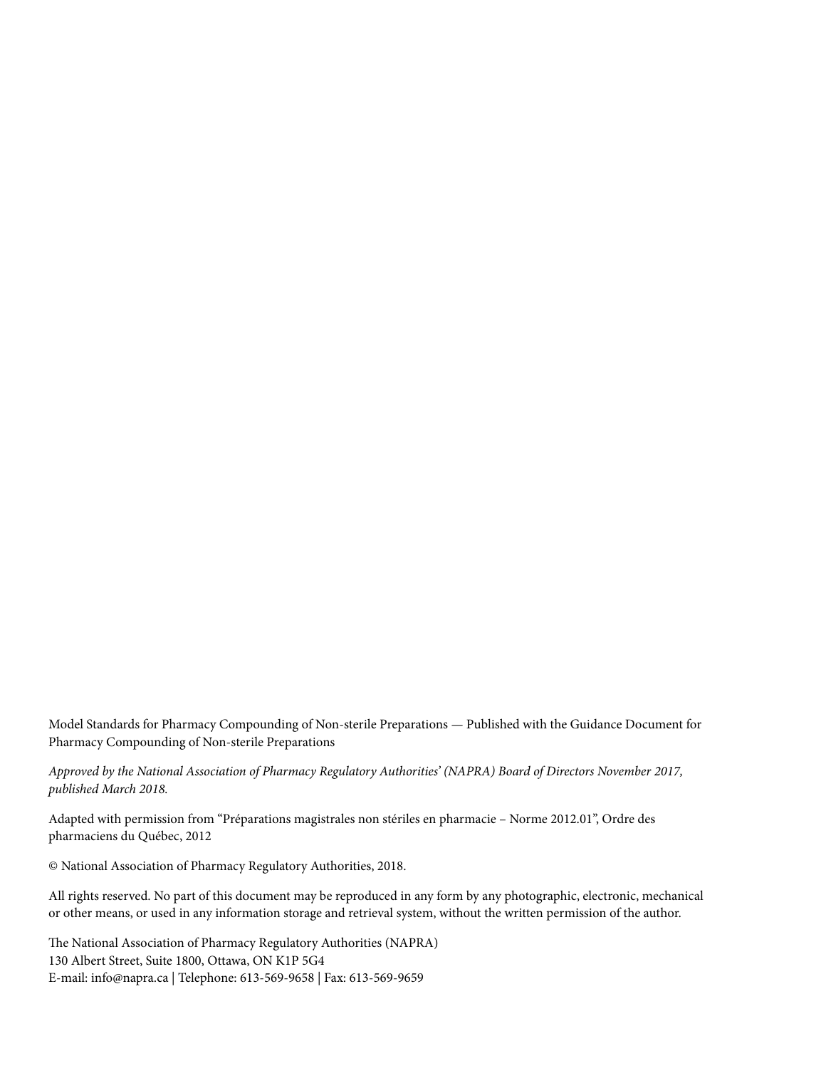Model Standards for Pharmacy Compounding of Non-sterile Preparations *—* Published with the Guidance Document for Pharmacy Compounding of Non-sterile Preparations

*Approved by the National Association of Pharmacy Regulatory Authorities' (NAPRA) Board of Directors November 2017, published March 2018.* 

Adapted with permission from "Préparations magistrales non stériles en pharmacie – Norme 2012.01", Ordre des pharmaciens du Québec, 2012

© National Association of Pharmacy Regulatory Authorities, 2018.

All rights reserved. No part of this document may be reproduced in any form by any photographic, electronic, mechanical or other means, or used in any information storage and retrieval system, without the written permission of the author.

The National Association of Pharmacy Regulatory Authorities (NAPRA) 130 Albert Street, Suite 1800, Ottawa, ON K1P 5G4 E-mail: info@napra.ca | Telephone: 613-569-9658 | Fax: 613-569-9659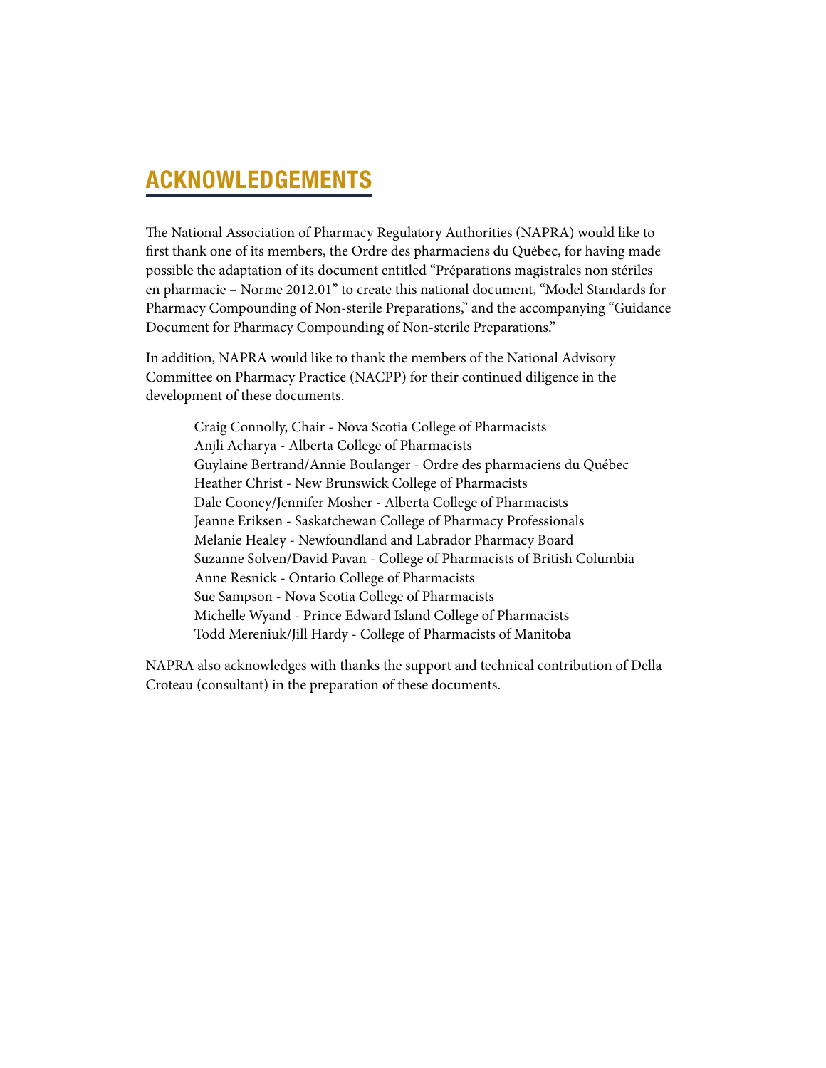# ACKNOWLEDGEMENTS

The National Association of Pharmacy Regulatory Authorities (NAPRA) would like to first thank one of its members, the Ordre des pharmaciens du Québec, for having made possible the adaptation of its document entitled "Préparations magistrales non stériles en pharmacie – Norme 2012.01" to create this national document, "Model Standards for Pharmacy Compounding of Non-sterile Preparations," and the accompanying "Guidance Document for Pharmacy Compounding of Non-sterile Preparations."

In addition, NAPRA would like to thank the members of the National Advisory Committee on Pharmacy Practice (NACPP) for their continued diligence in the development of these documents.

> Craig Connolly, Chair - Nova Scotia College of Pharmacists Anjli Acharya - Alberta College of Pharmacists Guylaine Bertrand/Annie Boulanger - Ordre des pharmaciens du Québec Heather Christ - New Brunswick College of Pharmacists Dale Cooney/Jennifer Mosher - Alberta College of Pharmacists Jeanne Eriksen - Saskatchewan College of Pharmacy Professionals Melanie Healey - Newfoundland and Labrador Pharmacy Board Suzanne Solven/David Pavan - College of Pharmacists of British Columbia Anne Resnick - Ontario College of Pharmacists Sue Sampson - Nova Scotia College of Pharmacists Michelle Wyand - Prince Edward Island College of Pharmacists Todd Mereniuk/Jill Hardy - College of Pharmacists of Manitoba

NAPRA also acknowledges with thanks the support and technical contribution of Della Croteau (consultant) in the preparation of these documents.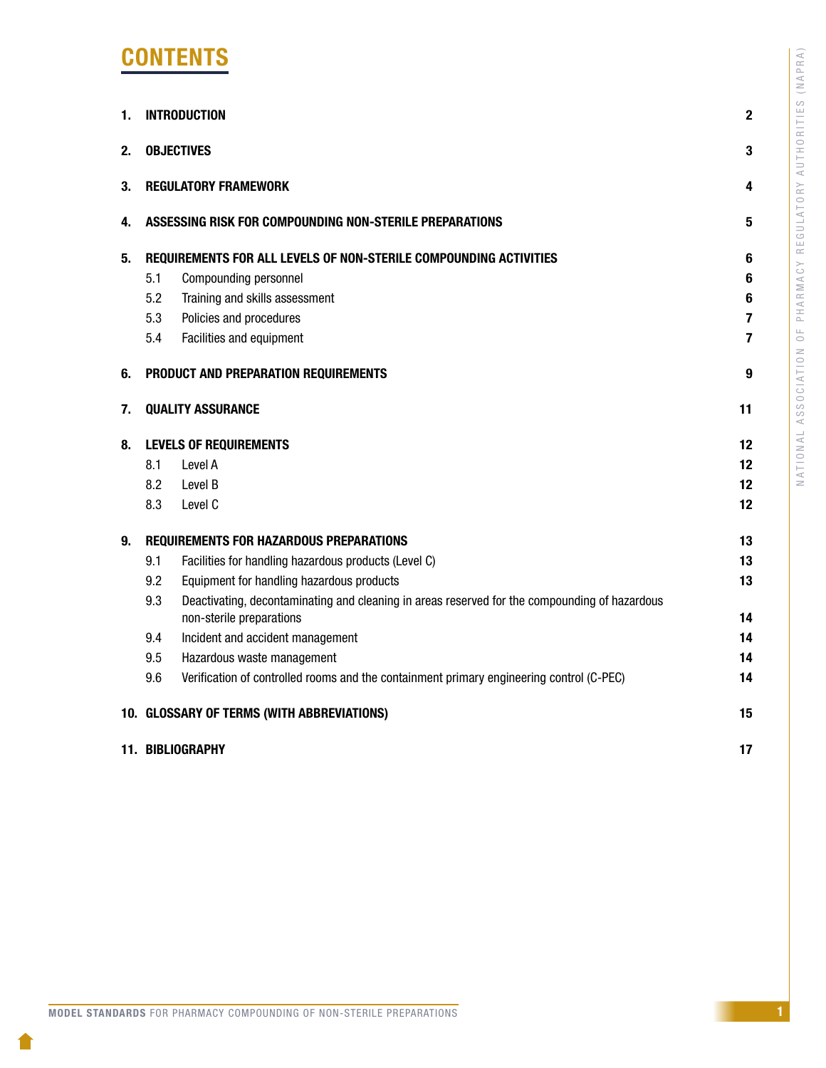# **CONTENTS**

| 1. | $\overline{2}$<br><b>INTRODUCTION</b>                                                                                                                                                                                                                                                                                                                                                                                                                                                    |                                        |  |
|----|------------------------------------------------------------------------------------------------------------------------------------------------------------------------------------------------------------------------------------------------------------------------------------------------------------------------------------------------------------------------------------------------------------------------------------------------------------------------------------------|----------------------------------------|--|
| 2. | <b>OBJECTIVES</b>                                                                                                                                                                                                                                                                                                                                                                                                                                                                        |                                        |  |
| 3. | <b>REGULATORY FRAMEWORK</b>                                                                                                                                                                                                                                                                                                                                                                                                                                                              |                                        |  |
| 4. | ASSESSING RISK FOR COMPOUNDING NON-STERILE PREPARATIONS                                                                                                                                                                                                                                                                                                                                                                                                                                  | 5                                      |  |
| 5. | REQUIREMENTS FOR ALL LEVELS OF NON-STERILE COMPOUNDING ACTIVITIES<br>5.1<br>Compounding personnel<br>5.2<br>Training and skills assessment<br>5.3<br>Policies and procedures<br>5.4<br>Facilities and equipment                                                                                                                                                                                                                                                                          | 6<br>6<br>6<br>7<br>7                  |  |
| 6. | PRODUCT AND PREPARATION REQUIREMENTS                                                                                                                                                                                                                                                                                                                                                                                                                                                     | 9                                      |  |
| 7. | <b>QUALITY ASSURANCE</b>                                                                                                                                                                                                                                                                                                                                                                                                                                                                 | 11                                     |  |
| 8. | <b>LEVELS OF REQUIREMENTS</b><br>8.1<br>Level A<br>8.2<br>Level B<br>8.3<br>Level C                                                                                                                                                                                                                                                                                                                                                                                                      | 12<br>12<br>12<br>12                   |  |
| 9. | <b>REQUIREMENTS FOR HAZARDOUS PREPARATIONS</b><br>9.1<br>Facilities for handling hazardous products (Level C)<br>9.2<br>Equipment for handling hazardous products<br>9.3<br>Deactivating, decontaminating and cleaning in areas reserved for the compounding of hazardous<br>non-sterile preparations<br>Incident and accident management<br>9.4<br>9.5<br>Hazardous waste management<br>9.6<br>Verification of controlled rooms and the containment primary engineering control (C-PEC) | 13<br>13<br>13<br>14<br>14<br>14<br>14 |  |
|    | 10. GLOSSARY OF TERMS (WITH ABBREVIATIONS)                                                                                                                                                                                                                                                                                                                                                                                                                                               | 15                                     |  |
|    | 11. BIBLIOGRAPHY                                                                                                                                                                                                                                                                                                                                                                                                                                                                         | 17                                     |  |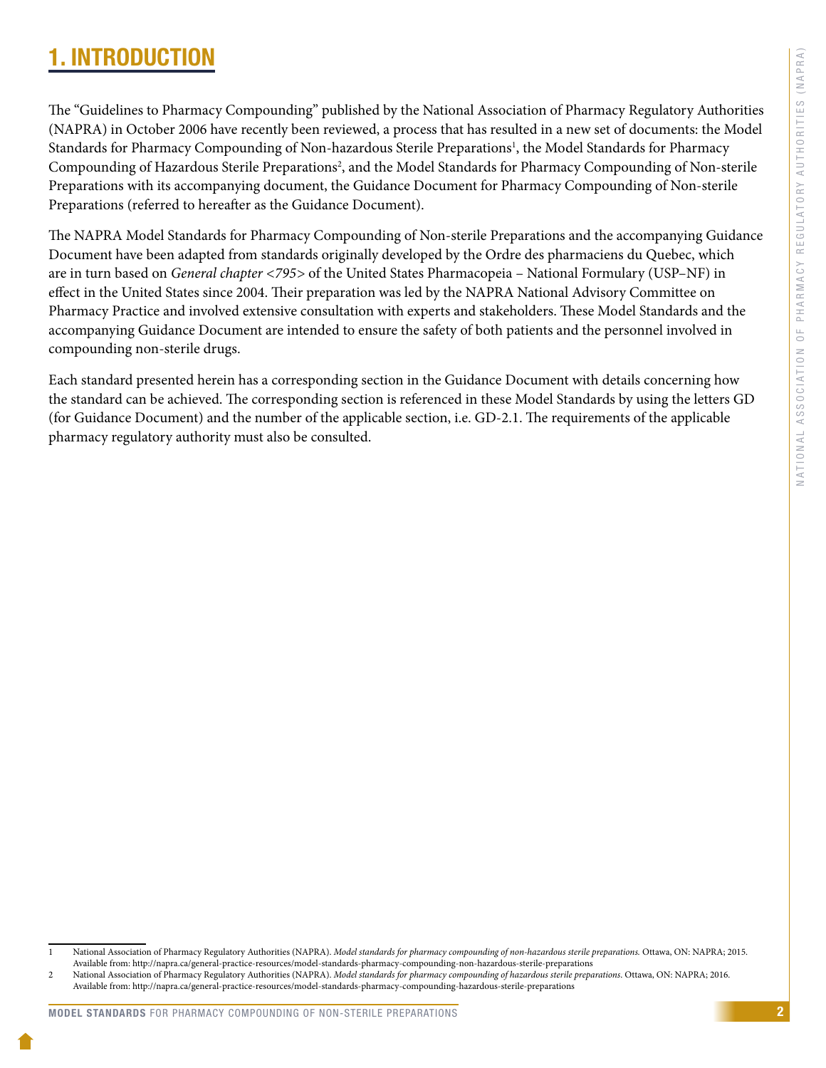# <span id="page-4-0"></span>1. INTRODUCTION

The "Guidelines to Pharmacy Compounding" published by the National Association of Pharmacy Regulatory Authorities (NAPRA) in October 2006 have recently been reviewed, a process that has resulted in a new set of documents: the Model Standards for Pharmacy Compounding of Non-hazardous Sterile Preparations<sup>1</sup>, the Model Standards for Pharmacy Compounding of Hazardous Sterile Preparations<sup>2</sup>, and the Model Standards for Pharmacy Compounding of Non-sterile Preparations with its accompanying document, the Guidance Document for Pharmacy Compounding of Non-sterile Preparations (referred to hereafter as the Guidance Document).

The NAPRA Model Standards for Pharmacy Compounding of Non-sterile Preparations and the accompanying Guidance Document have been adapted from standards originally developed by the Ordre des pharmaciens du Quebec, which are in turn based on *General chapter <795>* of the United States Pharmacopeia – National Formulary (USP–NF) in effect in the United States since 2004. Their preparation was led by the NAPRA National Advisory Committee on Pharmacy Practice and involved extensive consultation with experts and stakeholders. These Model Standards and the accompanying Guidance Document are intended to ensure the safety of both patients and the personnel involved in compounding non-sterile drugs.

Each standard presented herein has a corresponding section in the Guidance Document with details concerning how the standard can be achieved. The corresponding section is referenced in these Model Standards by using the letters GD (for Guidance Document) and the number of the applicable section, i.e. GD-2.1. The requirements of the applicable pharmacy regulatory authority must also be consulted.

<sup>1</sup> National Association of Pharmacy Regulatory Authorities (NAPRA). *Model standards for pharmacy compounding of non-hazardous sterile preparations.* Ottawa, ON: NAPRA; 2015. Available from: http://napra.ca/general-practice-resources/model-standards-pharmacy-compounding-non-hazardous-sterile-preparations

<sup>2</sup> National Association of Pharmacy Regulatory Authorities (NAPRA). *Model standards for pharmacy compounding of hazardous sterile preparations*. Ottawa, ON: NAPRA; 2016. Available from: http://napra.ca/general-practice-resources/model-standards-pharmacy-compounding-hazardous-sterile-preparations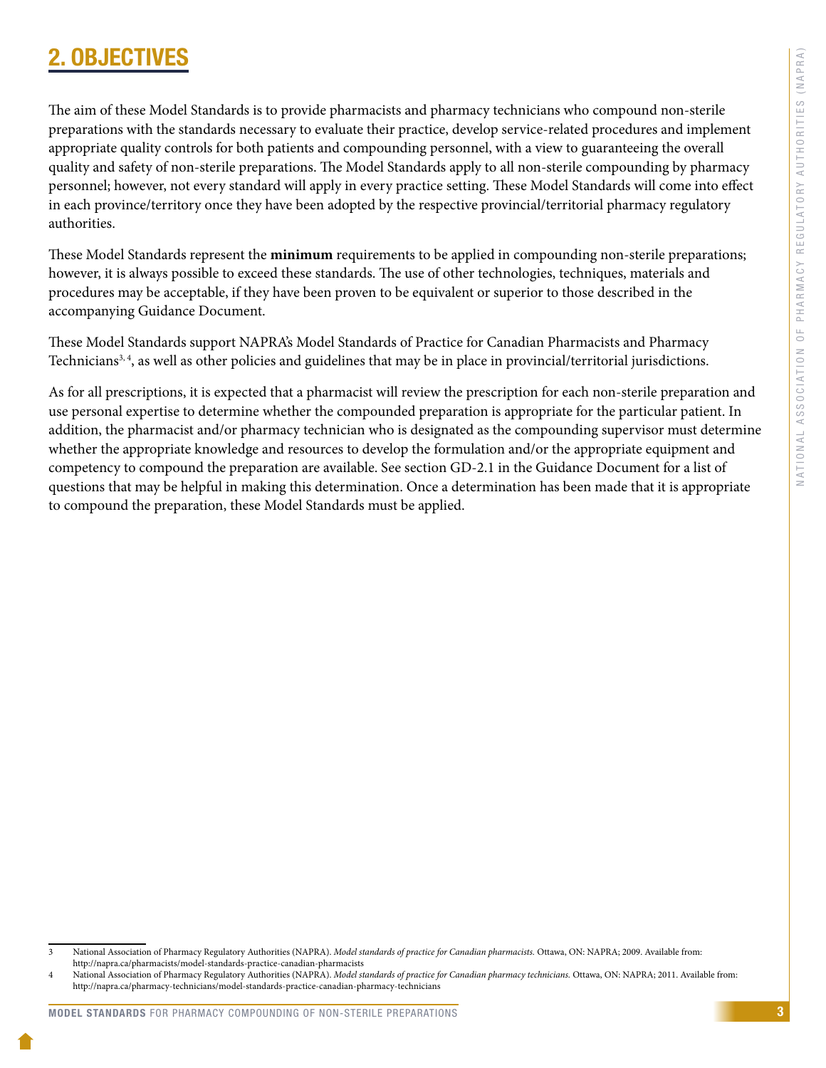# <span id="page-5-0"></span>**OBJECTIV**

The aim of these Model Standards is to provide pharmacists and pharmacy technicians who compound non-sterile preparations with the standards necessary to evaluate their practice, develop service-related procedures and implement appropriate quality controls for both patients and compounding personnel, with a view to guaranteeing the overall quality and safety of non-sterile preparations. The Model Standards apply to all non-sterile compounding by pharmacy personnel; however, not every standard will apply in every practice setting. These Model Standards will come into effect in each province/territory once they have been adopted by the respective provincial/territorial pharmacy regulatory authorities.

These Model Standards represent the **minimum** requirements to be applied in compounding non-sterile preparations; however, it is always possible to exceed these standards. The use of other technologies, techniques, materials and procedures may be acceptable, if they have been proven to be equivalent or superior to those described in the accompanying Guidance Document.

These Model Standards support NAPRA's Model Standards of Practice for Canadian Pharmacists and Pharmacy Technicians<sup>3, 4</sup>, as well as other policies and guidelines that may be in place in provincial/territorial jurisdictions.

As for all prescriptions, it is expected that a pharmacist will review the prescription for each non-sterile preparation and use personal expertise to determine whether the compounded preparation is appropriate for the particular patient. In addition, the pharmacist and/or pharmacy technician who is designated as the compounding supervisor must determine whether the appropriate knowledge and resources to develop the formulation and/or the appropriate equipment and competency to compound the preparation are available. See section GD-2.1 in the Guidance Document for a list of questions that may be helpful in making this determination. Once a determination has been made that it is appropriate to compound the preparation, these Model Standards must be applied.

<sup>3</sup> National Association of Pharmacy Regulatory Authorities (NAPRA). *Model standards of practice for Canadian pharmacists.* Ottawa, ON: NAPRA; 2009. Available from: http://napra.ca/pharmacists/model-standards-practice-canadian-pharmacists

National Association of Pharmacy Regulatory Authorities (NAPRA). *Model standards of practice for Canadian pharmacy technicians*. Ottawa, ON: NAPRA; 2011. Available from: http://napra.ca/pharmacy-technicians/model-standards-practice-canadian-pharmacy-technicians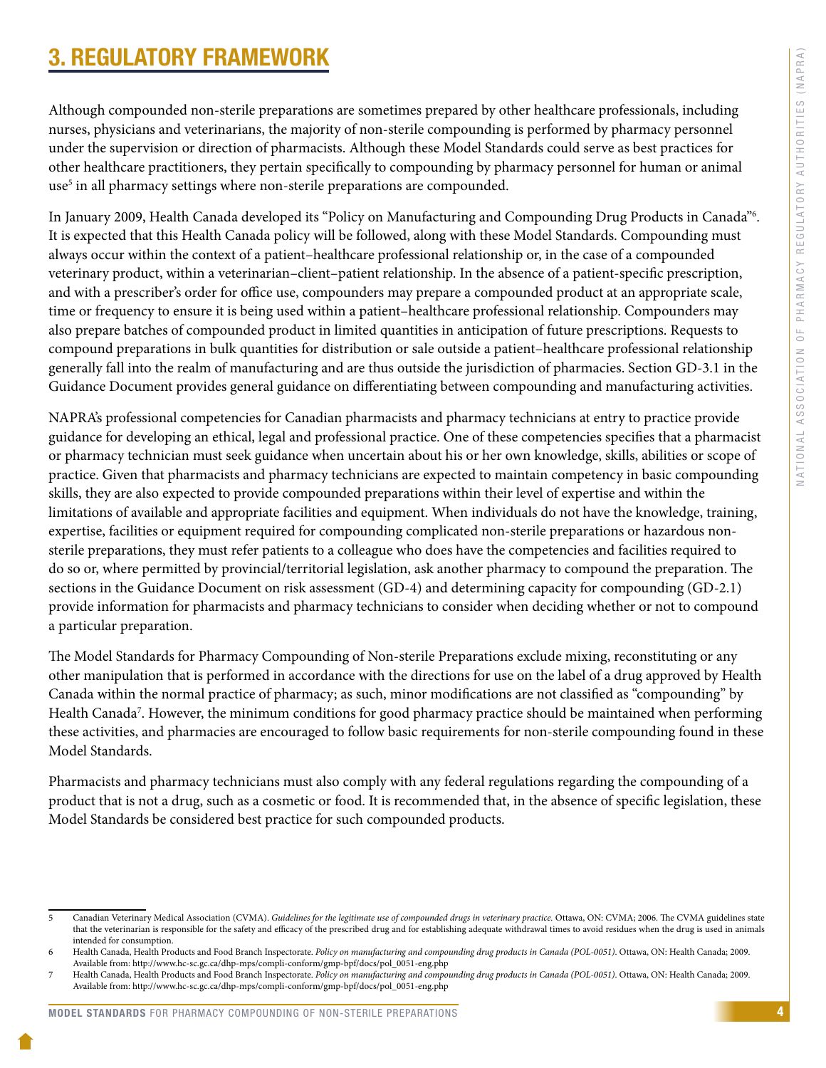# <span id="page-6-0"></span>3. REGULATORY FRAMEWORK

Although compounded non-sterile preparations are sometimes prepared by other healthcare professionals, including nurses, physicians and veterinarians, the majority of non-sterile compounding is performed by pharmacy personnel under the supervision or direction of pharmacists. Although these Model Standards could serve as best practices for other healthcare practitioners, they pertain specifically to compounding by pharmacy personnel for human or animal use<sup>5</sup> in all pharmacy settings where non-sterile preparations are compounded.

In January 2009, Health Canada developed its "Policy on Manufacturing and Compounding Drug Products in Canada"6 . It is expected that this Health Canada policy will be followed, along with these Model Standards. Compounding must always occur within the context of a patient–healthcare professional relationship or, in the case of a compounded veterinary product, within a veterinarian–client–patient relationship. In the absence of a patient-specific prescription, and with a prescriber's order for office use, compounders may prepare a compounded product at an appropriate scale, time or frequency to ensure it is being used within a patient–healthcare professional relationship. Compounders may also prepare batches of compounded product in limited quantities in anticipation of future prescriptions. Requests to compound preparations in bulk quantities for distribution or sale outside a patient–healthcare professional relationship generally fall into the realm of manufacturing and are thus outside the jurisdiction of pharmacies. Section GD-3.1 in the Guidance Document provides general guidance on differentiating between compounding and manufacturing activities.

NAPRA's professional competencies for Canadian pharmacists and pharmacy technicians at entry to practice provide guidance for developing an ethical, legal and professional practice. One of these competencies specifies that a pharmacist or pharmacy technician must seek guidance when uncertain about his or her own knowledge, skills, abilities or scope of practice. Given that pharmacists and pharmacy technicians are expected to maintain competency in basic compounding skills, they are also expected to provide compounded preparations within their level of expertise and within the limitations of available and appropriate facilities and equipment. When individuals do not have the knowledge, training, expertise, facilities or equipment required for compounding complicated non-sterile preparations or hazardous nonsterile preparations, they must refer patients to a colleague who does have the competencies and facilities required to do so or, where permitted by provincial/territorial legislation, ask another pharmacy to compound the preparation. The sections in the Guidance Document on risk assessment (GD-4) and determining capacity for compounding (GD-2.1) provide information for pharmacists and pharmacy technicians to consider when deciding whether or not to compound a particular preparation.

The Model Standards for Pharmacy Compounding of Non-sterile Preparations exclude mixing, reconstituting or any other manipulation that is performed in accordance with the directions for use on the label of a drug approved by Health Canada within the normal practice of pharmacy; as such, minor modifications are not classified as "compounding" by Health Canada<sup>7</sup>. However, the minimum conditions for good pharmacy practice should be maintained when performing these activities, and pharmacies are encouraged to follow basic requirements for non-sterile compounding found in these Model Standards.

Pharmacists and pharmacy technicians must also comply with any federal regulations regarding the compounding of a product that is not a drug, such as a cosmetic or food. It is recommended that, in the absence of specific legislation, these Model Standards be considered best practice for such compounded products.

<sup>5</sup> Canadian Veterinary Medical Association (CVMA). *Guidelines for the legitimate use of compounded drugs in veterinary practice.* Ottawa, ON: CVMA; 2006. The CVMA guidelines state that the veterinarian is responsible for the safety and efficacy of the prescribed drug and for establishing adequate withdrawal times to avoid residues when the drug is used in animals intended for consumption.

<sup>6</sup> Health Canada, Health Products and Food Branch Inspectorate. *Policy on manufacturing and compounding drug products in Canada (POL-0051)*. Ottawa, ON: Health Canada; 2009. Available from: http://www.hc-sc.gc.ca/dhp-mps/compli-conform/gmp-bpf/docs/pol\_0051-eng.php

<sup>7</sup> Health Canada, Health Products and Food Branch Inspectorate. *Policy on manufacturing and compounding drug products in Canada (POL-0051)*. Ottawa, ON: Health Canada; 2009. Available from: http://www.hc-sc.gc.ca/dhp-mps/compli-conform/gmp-bpf/docs/pol\_0051-eng.php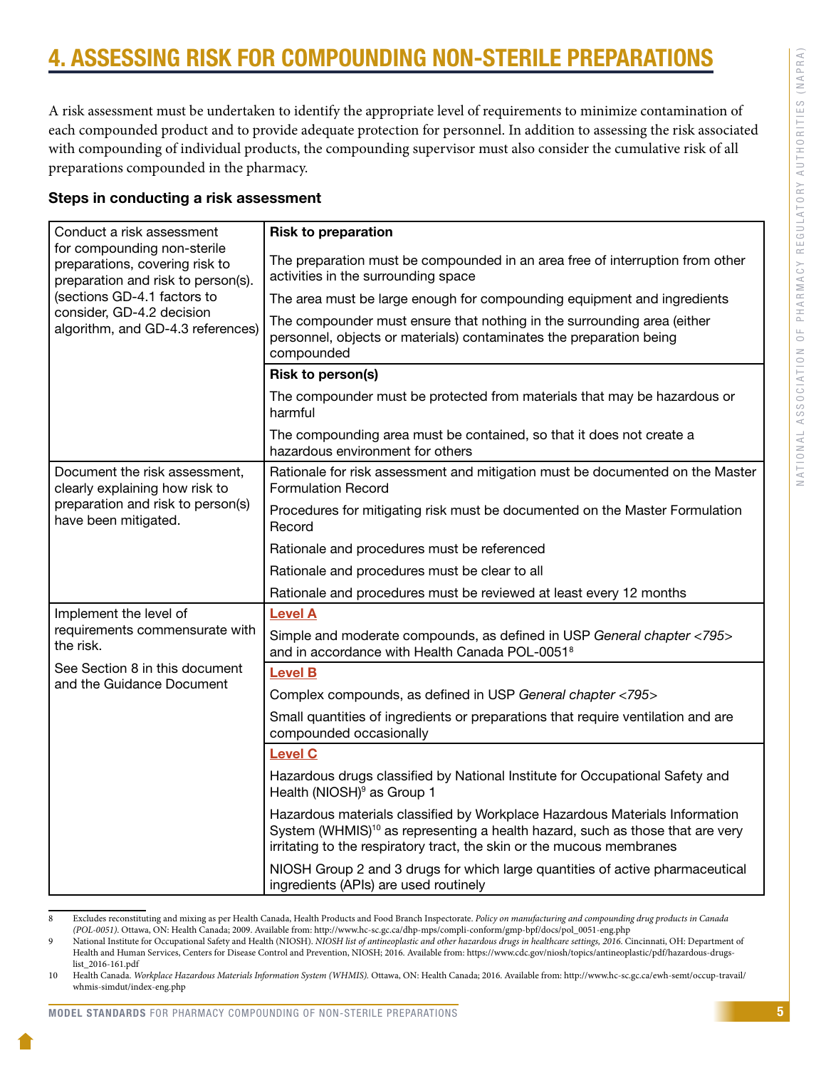# <span id="page-7-0"></span>ASSESSING RISK FOR COMPOUNDING NON-STERILE PREPARAT

A risk assessment must be undertaken to identify the appropriate level of requirements to minimize contamination of each compounded product and to provide adequate protection for personnel. In addition to assessing the risk associated with compounding of individual products, the compounding supervisor must also consider the cumulative risk of all preparations compounded in the pharmacy.

### Steps in conducting a risk assessment

| Conduct a risk assessment                                                                           | <b>Risk to preparation</b>                                                                                                                                                                                                                        |
|-----------------------------------------------------------------------------------------------------|---------------------------------------------------------------------------------------------------------------------------------------------------------------------------------------------------------------------------------------------------|
| for compounding non-sterile<br>preparations, covering risk to<br>preparation and risk to person(s). | The preparation must be compounded in an area free of interruption from other<br>activities in the surrounding space                                                                                                                              |
| (sections GD-4.1 factors to                                                                         | The area must be large enough for compounding equipment and ingredients                                                                                                                                                                           |
| consider, GD-4.2 decision<br>algorithm, and GD-4.3 references)                                      | The compounder must ensure that nothing in the surrounding area (either<br>personnel, objects or materials) contaminates the preparation being<br>compounded                                                                                      |
|                                                                                                     | <b>Risk to person(s)</b>                                                                                                                                                                                                                          |
|                                                                                                     | The compounder must be protected from materials that may be hazardous or<br>harmful                                                                                                                                                               |
|                                                                                                     | The compounding area must be contained, so that it does not create a<br>hazardous environment for others                                                                                                                                          |
| Document the risk assessment,<br>clearly explaining how risk to                                     | Rationale for risk assessment and mitigation must be documented on the Master<br><b>Formulation Record</b>                                                                                                                                        |
| preparation and risk to person(s)<br>have been mitigated.                                           | Procedures for mitigating risk must be documented on the Master Formulation<br>Record                                                                                                                                                             |
|                                                                                                     | Rationale and procedures must be referenced                                                                                                                                                                                                       |
|                                                                                                     | Rationale and procedures must be clear to all                                                                                                                                                                                                     |
|                                                                                                     | Rationale and procedures must be reviewed at least every 12 months                                                                                                                                                                                |
| Implement the level of                                                                              | <b>Level A</b>                                                                                                                                                                                                                                    |
| requirements commensurate with<br>the risk.                                                         | Simple and moderate compounds, as defined in USP General chapter <795><br>and in accordance with Health Canada POL-0051 <sup>8</sup>                                                                                                              |
| See Section 8 in this document<br>and the Guidance Document                                         | <b>Level B</b>                                                                                                                                                                                                                                    |
|                                                                                                     | Complex compounds, as defined in USP General chapter <795>                                                                                                                                                                                        |
|                                                                                                     | Small quantities of ingredients or preparations that require ventilation and are<br>compounded occasionally                                                                                                                                       |
|                                                                                                     | <b>Level C</b>                                                                                                                                                                                                                                    |
|                                                                                                     | Hazardous drugs classified by National Institute for Occupational Safety and<br>Health (NIOSH) <sup>9</sup> as Group 1                                                                                                                            |
|                                                                                                     | Hazardous materials classified by Workplace Hazardous Materials Information<br>System (WHMIS) <sup>10</sup> as representing a health hazard, such as those that are very<br>irritating to the respiratory tract, the skin or the mucous membranes |
|                                                                                                     | NIOSH Group 2 and 3 drugs for which large quantities of active pharmaceutical<br>ingredients (APIs) are used routinely                                                                                                                            |

<sup>8</sup> Excludes reconstituting and mixing as per Health Canada, Health Products and Food Branch Inspectorate. *Policy on manufacturing and compounding drug products in Canada (POL-0051)*. Ottawa, ON: Health Canada; 2009. Available from: http://www.hc-sc.gc.ca/dhp-mps/compli-conform/gmp-bpf/docs/pol\_0051-eng.php

### MODEL STANDARDS FOR PHARMACY COMPOUNDING OF NON-STERILE PREPARATIONS

<sup>9</sup> National Institute for Occupational Safety and Health (NIOSH). *NIOSH list of antineoplastic and other hazardous drugs in healthcare settings*, 2016. Cincinnati, OH: Department of Health and Human Services, Centers for Disease Control and Prevention, NIOSH; 2016. Available from: https://www.cdc.gov/niosh/topics/antineoplastic/pdf/hazardous-drugslist\_2016-161.pdf

<sup>10</sup> Health Canada. *Workplace Hazardous Materials Information System (WHMIS).* Ottawa, ON: Health Canada; 2016. Available from: [http://www.hc-sc.gc.ca/ewh-semt/occup-travail/](http://www.hc-sc.gc.ca/ewh-semt/occup-travail/whmis-simdut/index-eng.php) [whmis-simdut/index-eng.php](http://www.hc-sc.gc.ca/ewh-semt/occup-travail/whmis-simdut/index-eng.php)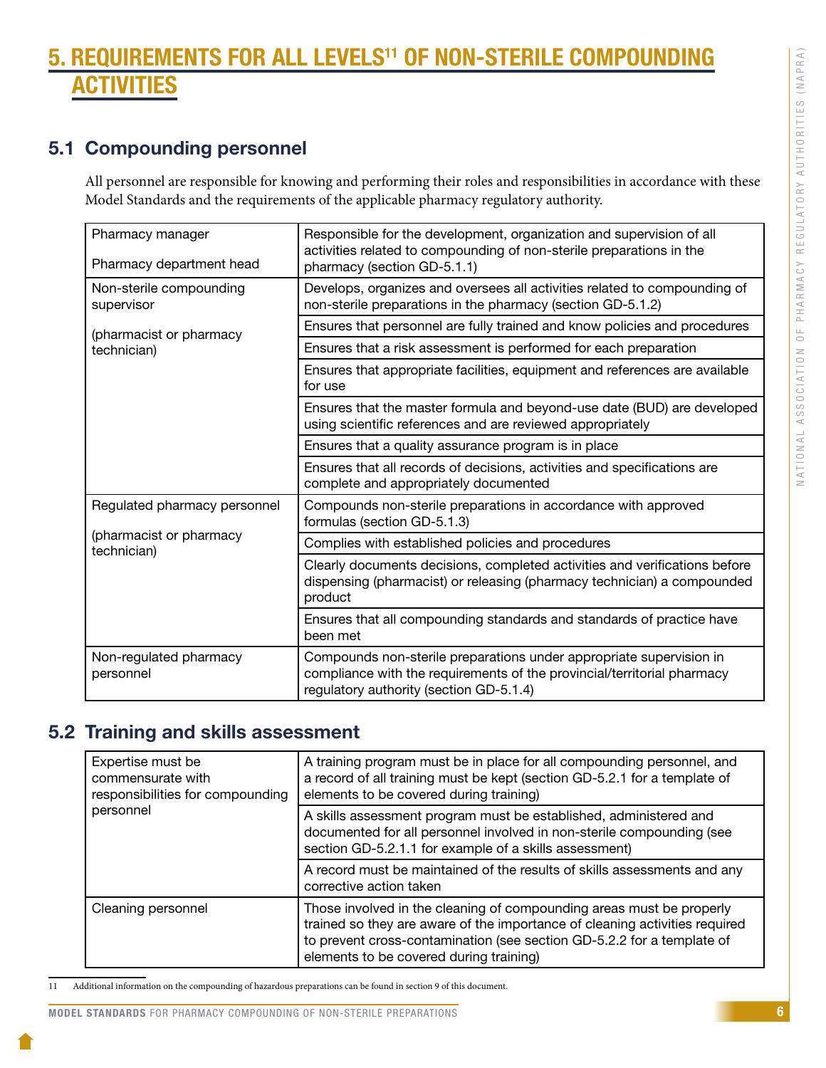# <span id="page-8-0"></span>5. REQUIREMENTS FOR ALL LEVELS11 OF NON-STERILE COMPOUNDING TIVITIES

### 5.1 Compounding personnel

All personnel are responsible for knowing and performing their roles and responsibilities in accordance with these Model Standards and the requirements of the applicable pharmacy regulatory authority.

| Pharmacy manager<br>Pharmacy department head | Responsible for the development, organization and supervision of all<br>activities related to compounding of non-sterile preparations in the<br>pharmacy (section GD-5.1.1)               |
|----------------------------------------------|-------------------------------------------------------------------------------------------------------------------------------------------------------------------------------------------|
| Non-sterile compounding<br>supervisor        | Develops, organizes and oversees all activities related to compounding of<br>non-sterile preparations in the pharmacy (section GD-5.1.2)                                                  |
| (pharmacist or pharmacy                      | Ensures that personnel are fully trained and know policies and procedures                                                                                                                 |
| technician)                                  | Ensures that a risk assessment is performed for each preparation                                                                                                                          |
|                                              | Ensures that appropriate facilities, equipment and references are available<br>for use                                                                                                    |
|                                              | Ensures that the master formula and beyond-use date (BUD) are developed<br>using scientific references and are reviewed appropriately                                                     |
|                                              | Ensures that a quality assurance program is in place                                                                                                                                      |
|                                              | Ensures that all records of decisions, activities and specifications are<br>complete and appropriately documented                                                                         |
| Regulated pharmacy personnel                 | Compounds non-sterile preparations in accordance with approved<br>formulas (section GD-5.1.3)                                                                                             |
| (pharmacist or pharmacy<br>technician)       | Complies with established policies and procedures                                                                                                                                         |
|                                              | Clearly documents decisions, completed activities and verifications before<br>dispensing (pharmacist) or releasing (pharmacy technician) a compounded<br>product                          |
|                                              | Ensures that all compounding standards and standards of practice have<br>been met                                                                                                         |
| Non-regulated pharmacy<br>personnel          | Compounds non-sterile preparations under appropriate supervision in<br>compliance with the requirements of the provincial/territorial pharmacy<br>regulatory authority (section GD-5.1.4) |

### 5.2 Training and skills assessment

| Expertise must be<br>commensurate with<br>responsibilities for compounding | A training program must be in place for all compounding personnel, and<br>a record of all training must be kept (section GD-5.2.1 for a template of<br>elements to be covered during training)                                                                           |
|----------------------------------------------------------------------------|--------------------------------------------------------------------------------------------------------------------------------------------------------------------------------------------------------------------------------------------------------------------------|
| personnel                                                                  | A skills assessment program must be established, administered and<br>documented for all personnel involved in non-sterile compounding (see<br>section GD-5.2.1.1 for example of a skills assessment)                                                                     |
|                                                                            | A record must be maintained of the results of skills assessments and any<br>corrective action taken                                                                                                                                                                      |
| Cleaning personnel                                                         | Those involved in the cleaning of compounding areas must be properly<br>trained so they are aware of the importance of cleaning activities required<br>to prevent cross-contamination (see section GD-5.2.2 for a template of<br>elements to be covered during training) |

11 Additional information on the compounding of hazardous preparations can be found in section 9 of this document.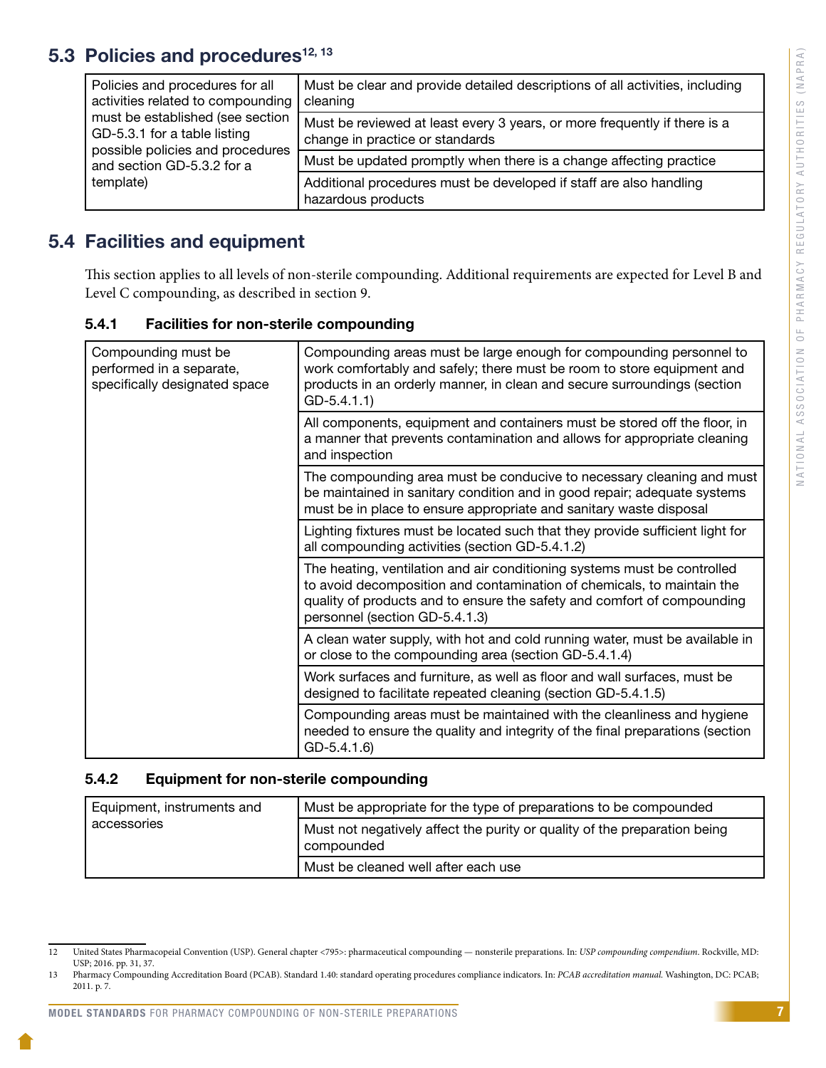# <span id="page-9-0"></span>5.3 Policies and procedures $12, 13$

| Policies and procedures for all<br>activities related to compounding                                 | Must be clear and provide detailed descriptions of all activities, including<br>cleaning                     |
|------------------------------------------------------------------------------------------------------|--------------------------------------------------------------------------------------------------------------|
| must be established (see section<br>GD-5.3.1 for a table listing<br>possible policies and procedures | Must be reviewed at least every 3 years, or more frequently if there is a<br>change in practice or standards |
| and section GD-5.3.2 for a                                                                           | Must be updated promptly when there is a change affecting practice                                           |
| template)                                                                                            | Additional procedures must be developed if staff are also handling<br>hazardous products                     |

### 5.4 Facilities and equipment

This section applies to all levels of non-sterile compounding. Additional requirements are expected for Level B and Level C compounding, as described in section 9.

| 5.4.1 |  | <b>Facilities for non-sterile compounding</b> |
|-------|--|-----------------------------------------------|
|       |  |                                               |

| Compounding must be<br>performed in a separate,<br>specifically designated space | Compounding areas must be large enough for compounding personnel to<br>work comfortably and safely; there must be room to store equipment and<br>products in an orderly manner, in clean and secure surroundings (section<br>$GD-5.4.1.1)$                      |
|----------------------------------------------------------------------------------|-----------------------------------------------------------------------------------------------------------------------------------------------------------------------------------------------------------------------------------------------------------------|
|                                                                                  | All components, equipment and containers must be stored off the floor, in<br>a manner that prevents contamination and allows for appropriate cleaning<br>and inspection                                                                                         |
|                                                                                  | The compounding area must be conducive to necessary cleaning and must<br>be maintained in sanitary condition and in good repair; adequate systems<br>must be in place to ensure appropriate and sanitary waste disposal                                         |
|                                                                                  | Lighting fixtures must be located such that they provide sufficient light for<br>all compounding activities (section GD-5.4.1.2)                                                                                                                                |
|                                                                                  | The heating, ventilation and air conditioning systems must be controlled<br>to avoid decomposition and contamination of chemicals, to maintain the<br>quality of products and to ensure the safety and comfort of compounding<br>personnel (section GD-5.4.1.3) |
|                                                                                  | A clean water supply, with hot and cold running water, must be available in<br>or close to the compounding area (section GD-5.4.1.4)                                                                                                                            |
|                                                                                  | Work surfaces and furniture, as well as floor and wall surfaces, must be<br>designed to facilitate repeated cleaning (section GD-5.4.1.5)                                                                                                                       |
|                                                                                  | Compounding areas must be maintained with the cleanliness and hygiene<br>needed to ensure the quality and integrity of the final preparations (section<br>$GD-5.4.1.6$                                                                                          |

### 5.4.2 Equipment for non-sterile compounding

| Equipment, instruments and | Must be appropriate for the type of preparations to be compounded                       |
|----------------------------|-----------------------------------------------------------------------------------------|
| accessories                | Must not negatively affect the purity or quality of the preparation being<br>compounded |
|                            | Must be cleaned well after each use                                                     |

<sup>12</sup> United States Pharmacopeial Convention (USP). General chapter <795>: pharmaceutical compounding — nonsterile preparations. In: *USP compounding compendium*. Rockville, MD: USP; 2016. pp. 31, 37.

<sup>13</sup> Pharmacy Compounding Accreditation Board (PCAB). Standard 1.40: standard operating procedures compliance indicators. In: *PCAB accreditation manual.* Washington, DC: PCAB; 2011. p. 7.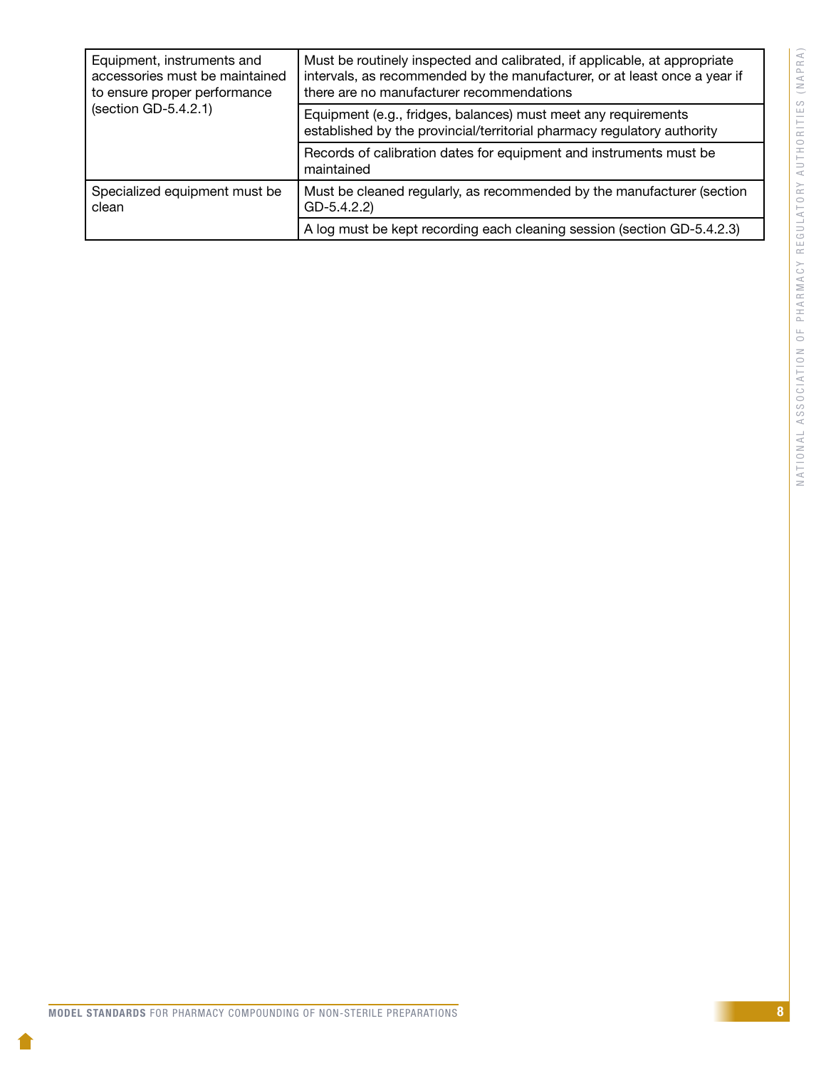| Equipment, instruments and<br>accessories must be maintained<br>to ensure proper performance | Must be routinely inspected and calibrated, if applicable, at appropriate<br>intervals, as recommended by the manufacturer, or at least once a year if<br>there are no manufacturer recommendations |
|----------------------------------------------------------------------------------------------|-----------------------------------------------------------------------------------------------------------------------------------------------------------------------------------------------------|
| (section GD-5.4.2.1)                                                                         | Equipment (e.g., fridges, balances) must meet any requirements<br>established by the provincial/territorial pharmacy regulatory authority                                                           |
|                                                                                              | Records of calibration dates for equipment and instruments must be<br>maintained                                                                                                                    |
| Specialized equipment must be<br>clean                                                       | Must be cleaned regularly, as recommended by the manufacturer (section<br>$GD-5.4.2.2$                                                                                                              |
|                                                                                              | A log must be kept recording each cleaning session (section GD-5.4.2.3)                                                                                                                             |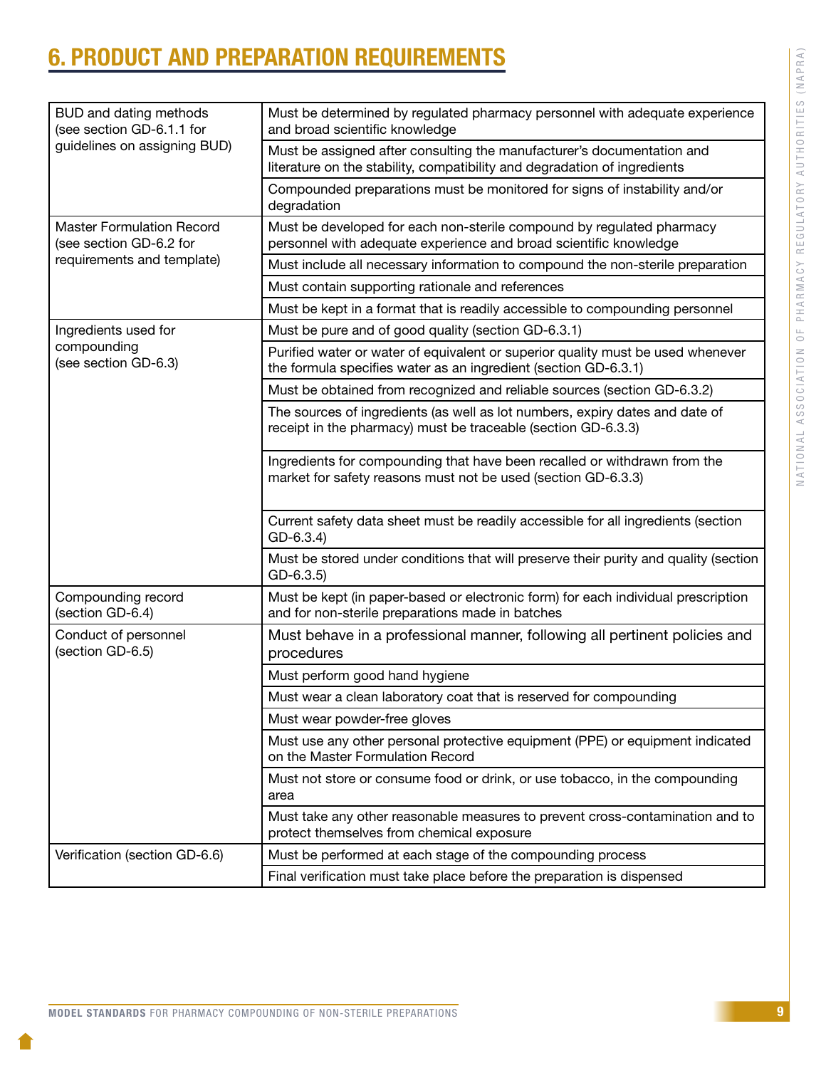# <span id="page-11-0"></span>6. PRODUCT AND PREPARATION REQUIREMENTS

| BUD and dating methods<br>(see section GD-6.1.1 for<br>guidelines on assigning BUD) | Must be determined by regulated pharmacy personnel with adequate experience<br>and broad scientific knowledge                                       |
|-------------------------------------------------------------------------------------|-----------------------------------------------------------------------------------------------------------------------------------------------------|
|                                                                                     | Must be assigned after consulting the manufacturer's documentation and<br>literature on the stability, compatibility and degradation of ingredients |
|                                                                                     | Compounded preparations must be monitored for signs of instability and/or<br>degradation                                                            |
| <b>Master Formulation Record</b><br>(see section GD-6.2 for                         | Must be developed for each non-sterile compound by regulated pharmacy<br>personnel with adequate experience and broad scientific knowledge          |
| requirements and template)                                                          | Must include all necessary information to compound the non-sterile preparation                                                                      |
|                                                                                     | Must contain supporting rationale and references                                                                                                    |
|                                                                                     | Must be kept in a format that is readily accessible to compounding personnel                                                                        |
| Ingredients used for                                                                | Must be pure and of good quality (section GD-6.3.1)                                                                                                 |
| compounding<br>(see section GD-6.3)                                                 | Purified water or water of equivalent or superior quality must be used whenever<br>the formula specifies water as an ingredient (section GD-6.3.1)  |
|                                                                                     | Must be obtained from recognized and reliable sources (section GD-6.3.2)                                                                            |
|                                                                                     | The sources of ingredients (as well as lot numbers, expiry dates and date of<br>receipt in the pharmacy) must be traceable (section GD-6.3.3)       |
|                                                                                     | Ingredients for compounding that have been recalled or withdrawn from the<br>market for safety reasons must not be used (section GD-6.3.3)          |
|                                                                                     | Current safety data sheet must be readily accessible for all ingredients (section<br>$GD-6.3.4$                                                     |
|                                                                                     | Must be stored under conditions that will preserve their purity and quality (section<br>$GD-6.3.5$                                                  |
| Compounding record<br>(section GD-6.4)                                              | Must be kept (in paper-based or electronic form) for each individual prescription<br>and for non-sterile preparations made in batches               |
| Conduct of personnel<br>(section GD-6.5)                                            | Must behave in a professional manner, following all pertinent policies and<br>procedures                                                            |
|                                                                                     | Must perform good hand hygiene                                                                                                                      |
|                                                                                     | Must wear a clean laboratory coat that is reserved for compounding                                                                                  |
|                                                                                     | Must wear powder-free gloves                                                                                                                        |
|                                                                                     | Must use any other personal protective equipment (PPE) or equipment indicated<br>on the Master Formulation Record                                   |
|                                                                                     | Must not store or consume food or drink, or use tobacco, in the compounding<br>area                                                                 |
|                                                                                     | Must take any other reasonable measures to prevent cross-contamination and to<br>protect themselves from chemical exposure                          |
| Verification (section GD-6.6)                                                       | Must be performed at each stage of the compounding process                                                                                          |
|                                                                                     | Final verification must take place before the preparation is dispensed                                                                              |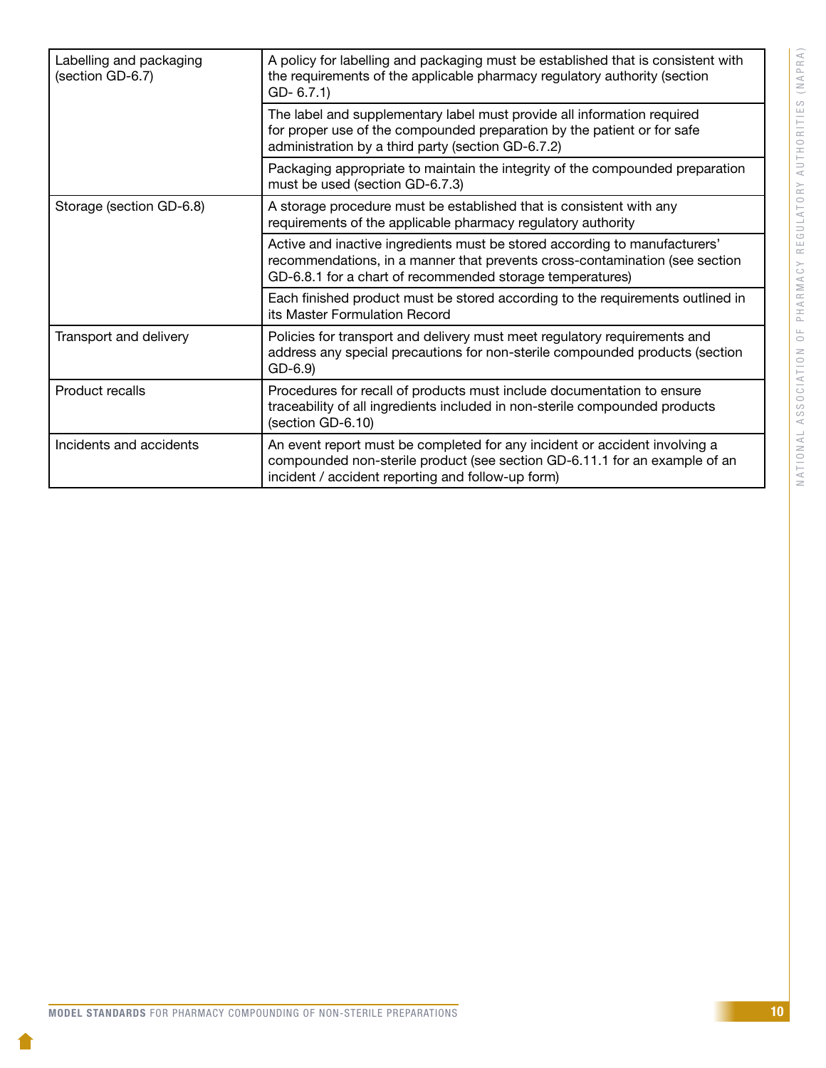| Labelling and packaging<br>(section GD-6.7) | A policy for labelling and packaging must be established that is consistent with<br>the requirements of the applicable pharmacy regulatory authority (section<br>$GD-6.7.1$                                            |
|---------------------------------------------|------------------------------------------------------------------------------------------------------------------------------------------------------------------------------------------------------------------------|
|                                             | The label and supplementary label must provide all information required<br>for proper use of the compounded preparation by the patient or for safe<br>administration by a third party (section GD-6.7.2)               |
|                                             | Packaging appropriate to maintain the integrity of the compounded preparation<br>must be used (section GD-6.7.3)                                                                                                       |
| Storage (section GD-6.8)                    | A storage procedure must be established that is consistent with any<br>requirements of the applicable pharmacy regulatory authority                                                                                    |
|                                             | Active and inactive ingredients must be stored according to manufacturers'<br>recommendations, in a manner that prevents cross-contamination (see section<br>GD-6.8.1 for a chart of recommended storage temperatures) |
|                                             | Each finished product must be stored according to the requirements outlined in<br>its Master Formulation Record                                                                                                        |
| Transport and delivery                      | Policies for transport and delivery must meet regulatory requirements and<br>address any special precautions for non-sterile compounded products (section<br>$GD-6.9$                                                  |
| Product recalls                             | Procedures for recall of products must include documentation to ensure<br>traceability of all ingredients included in non-sterile compounded products<br>(section GD-6.10)                                             |
| Incidents and accidents                     | An event report must be completed for any incident or accident involving a<br>compounded non-sterile product (see section GD-6.11.1 for an example of an<br>incident / accident reporting and follow-up form)          |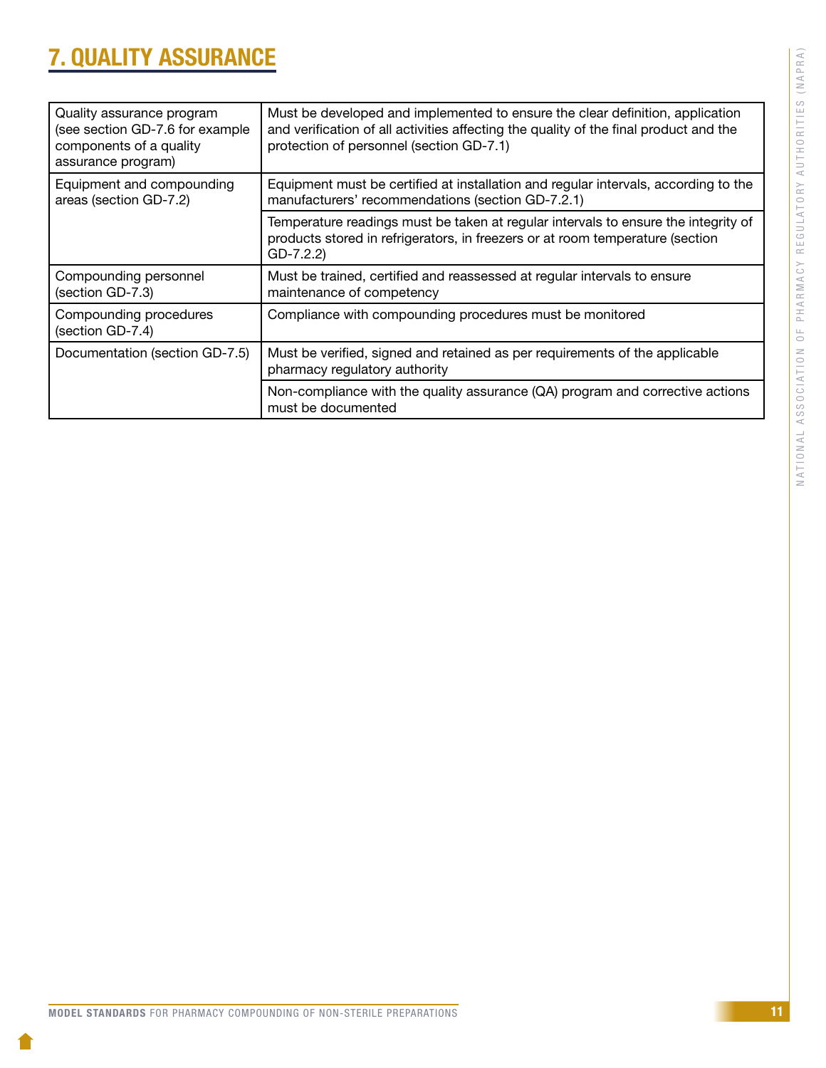# NATIONAL ASSOCIATION OF PHARMACY REGULATORY AUTHORITIES (NAPRA) NATIONAL ASSOCIATION OF PHARMACY REGULATORY AUTHORITIES (NAPRA)

# <span id="page-13-0"></span>7. QUALITY ASSURANCE

| Quality assurance program<br>(see section GD-7.6 for example<br>components of a quality<br>assurance program) | Must be developed and implemented to ensure the clear definition, application<br>and verification of all activities affecting the quality of the final product and the<br>protection of personnel (section GD-7.1) |
|---------------------------------------------------------------------------------------------------------------|--------------------------------------------------------------------------------------------------------------------------------------------------------------------------------------------------------------------|
| Equipment and compounding<br>areas (section GD-7.2)                                                           | Equipment must be certified at installation and regular intervals, according to the<br>manufacturers' recommendations (section GD-7.2.1)                                                                           |
|                                                                                                               | Temperature readings must be taken at regular intervals to ensure the integrity of<br>products stored in refrigerators, in freezers or at room temperature (section<br>$GD-7.2.2$                                  |
| Compounding personnel<br>(section GD-7.3)                                                                     | Must be trained, certified and reassessed at regular intervals to ensure<br>maintenance of competency                                                                                                              |
| Compounding procedures<br>(section GD-7.4)                                                                    | Compliance with compounding procedures must be monitored                                                                                                                                                           |
| Documentation (section GD-7.5)                                                                                | Must be verified, signed and retained as per requirements of the applicable<br>pharmacy regulatory authority                                                                                                       |
|                                                                                                               | Non-compliance with the quality assurance (QA) program and corrective actions<br>must be documented                                                                                                                |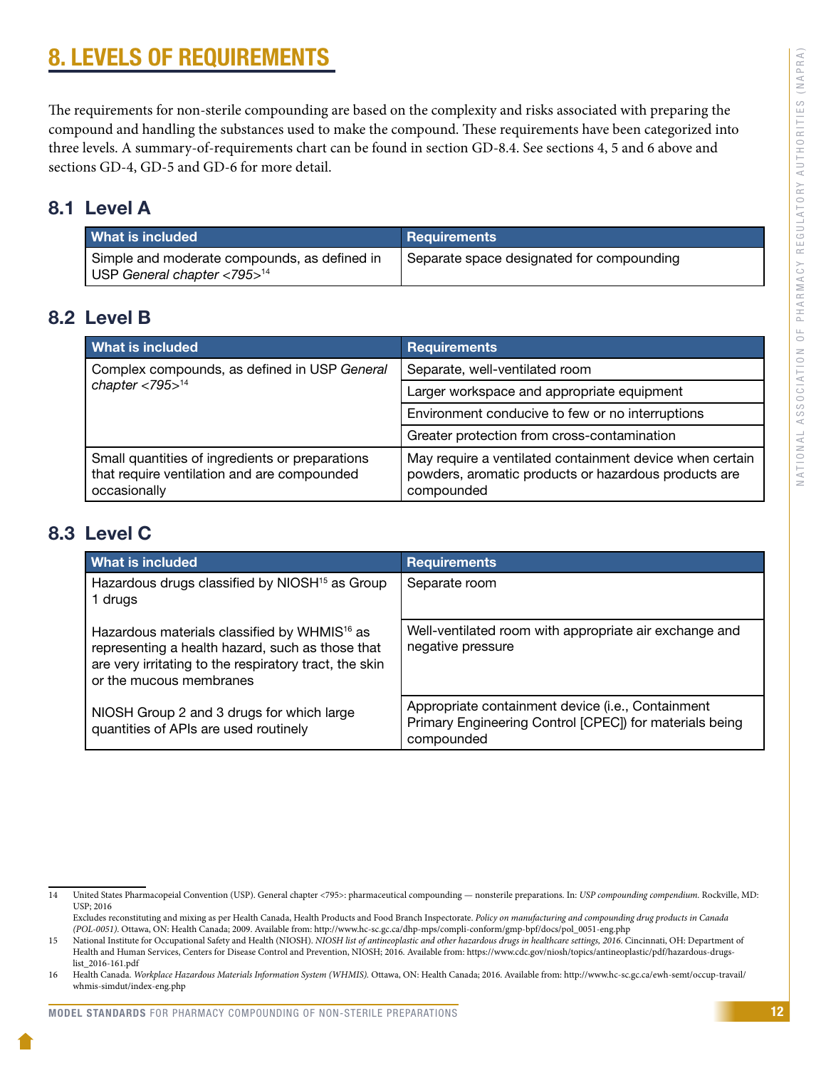# <span id="page-14-0"></span>8. LEVELS OF REQUIREMENTS

The requirements for non-sterile compounding are based on the complexity and risks associated with preparing the compound and handling the substances used to make the compound. These requirements have been categorized into three levels. A summary-of-requirements chart can be found in section GD-8.4. See sections 4, 5 and 6 above and sections GD-4, GD-5 and GD-6 for more detail.

### 8.1 Level A

| <b>What is included</b>                                                                       | Requirements                              |
|-----------------------------------------------------------------------------------------------|-------------------------------------------|
| Simple and moderate compounds, as defined in<br>USP General chapter $<$ 795 $>$ <sup>14</sup> | Separate space designated for compounding |

### 8.2 Level B

| What is included                                                                                               | <b>Requirements</b>                                                                                                            |
|----------------------------------------------------------------------------------------------------------------|--------------------------------------------------------------------------------------------------------------------------------|
| Complex compounds, as defined in USP General<br>chapter $<$ 795 $>$ <sup>14</sup>                              | Separate, well-ventilated room                                                                                                 |
|                                                                                                                | Larger workspace and appropriate equipment                                                                                     |
|                                                                                                                | Environment conducive to few or no interruptions                                                                               |
|                                                                                                                | Greater protection from cross-contamination                                                                                    |
| Small quantities of ingredients or preparations<br>that require ventilation and are compounded<br>occasionally | May require a ventilated containment device when certain<br>powders, aromatic products or hazardous products are<br>compounded |

### 8.3 Level C

| What is included                                                                                                                                                                                  | <b>Requirements</b>                                                                                                        |
|---------------------------------------------------------------------------------------------------------------------------------------------------------------------------------------------------|----------------------------------------------------------------------------------------------------------------------------|
| Hazardous drugs classified by NIOSH <sup>15</sup> as Group<br>1 drugs                                                                                                                             | Separate room                                                                                                              |
| Hazardous materials classified by WHMIS <sup>16</sup> as<br>representing a health hazard, such as those that<br>are very irritating to the respiratory tract, the skin<br>or the mucous membranes | Well-ventilated room with appropriate air exchange and<br>negative pressure                                                |
| NIOSH Group 2 and 3 drugs for which large<br>quantities of APIs are used routinely                                                                                                                | Appropriate containment device (i.e., Containment<br>Primary Engineering Control [CPEC]) for materials being<br>compounded |

<sup>14</sup> United States Pharmacopeial Convention (USP). General chapter <795>: pharmaceutical compounding — nonsterile preparations. In: *USP compounding compendium.* Rockville, MD: USP; 2016

Excludes reconstituting and mixing as per Health Canada, Health Products and Food Branch Inspectorate. *Policy on manufacturing and compounding drug products in Canada (POL-0051)*. Ottawa, ON: Health Canada; 2009. Available from: http://www.hc-sc.gc.ca/dhp-mps/compli-conform/gmp-bpf/docs/pol\_0051-eng.php

<sup>15</sup> National Institute for Occupational Safety and Health (NIOSH). *NIOSH list of antineoplastic and other hazardous drugs in healthcare settings, 2016*. Cincinnati, OH: Department of Health and Human Services, Centers for Disease Control and Prevention, NIOSH; 2016. Available from: https://www.cdc.gov/niosh/topics/antineoplastic/pdf/hazardous-drugslist\_2016-161.pdf

<sup>16</sup> Health Canada. *Workplace Hazardous Materials Information System (WHMIS).* Ottawa, ON: Health Canada; 2016. Available from: [http://www.hc-sc.gc.ca/ewh-semt/occup-travail/](http://www.hc-sc.gc.ca/ewh-semt/occup-travail/whmis-simdut/index-eng.php) [whmis-simdut/index-eng.php](http://www.hc-sc.gc.ca/ewh-semt/occup-travail/whmis-simdut/index-eng.php)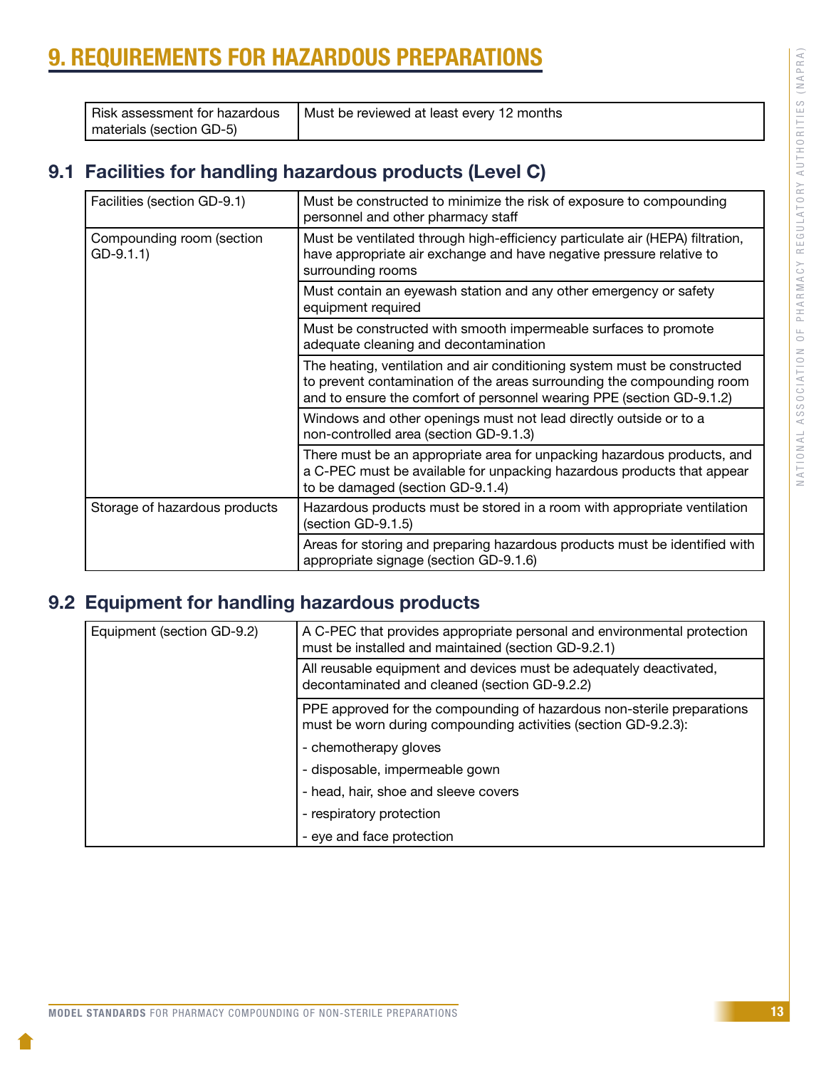# <span id="page-15-0"></span>9. REQUIREMENTS FOR HAZARDOUS PREPARATIONS

| Risk assessment for hazardous | Must be reviewed at least every 12 months |
|-------------------------------|-------------------------------------------|
| materials (section GD-5)      |                                           |

## 9.1 Facilities for handling hazardous products (Level C)

| Facilities (section GD-9.1)              | Must be constructed to minimize the risk of exposure to compounding<br>personnel and other pharmacy staff                                                                                                                   |
|------------------------------------------|-----------------------------------------------------------------------------------------------------------------------------------------------------------------------------------------------------------------------------|
| Compounding room (section<br>$GD-9.1.1)$ | Must be ventilated through high-efficiency particulate air (HEPA) filtration,<br>have appropriate air exchange and have negative pressure relative to<br>surrounding rooms                                                  |
|                                          | Must contain an eyewash station and any other emergency or safety<br>equipment required                                                                                                                                     |
|                                          | Must be constructed with smooth impermeable surfaces to promote<br>adequate cleaning and decontamination                                                                                                                    |
|                                          | The heating, ventilation and air conditioning system must be constructed<br>to prevent contamination of the areas surrounding the compounding room<br>and to ensure the comfort of personnel wearing PPE (section GD-9.1.2) |
|                                          | Windows and other openings must not lead directly outside or to a<br>non-controlled area (section GD-9.1.3)                                                                                                                 |
|                                          | There must be an appropriate area for unpacking hazardous products, and<br>a C-PEC must be available for unpacking hazardous products that appear<br>to be damaged (section GD-9.1.4)                                       |
| Storage of hazardous products            | Hazardous products must be stored in a room with appropriate ventilation<br>(section GD-9.1.5)                                                                                                                              |
|                                          | Areas for storing and preparing hazardous products must be identified with<br>appropriate signage (section GD-9.1.6)                                                                                                        |

# 9.2 Equipment for handling hazardous products

| Equipment (section GD-9.2) | A C-PEC that provides appropriate personal and environmental protection<br>must be installed and maintained (section GD-9.2.1)           |
|----------------------------|------------------------------------------------------------------------------------------------------------------------------------------|
|                            | All reusable equipment and devices must be adequately deactivated,<br>decontaminated and cleaned (section GD-9.2.2)                      |
|                            | PPE approved for the compounding of hazardous non-sterile preparations<br>must be worn during compounding activities (section GD-9.2.3): |
|                            | - chemotherapy gloves                                                                                                                    |
|                            | - disposable, impermeable gown                                                                                                           |
|                            | - head, hair, shoe and sleeve covers                                                                                                     |
|                            | - respiratory protection                                                                                                                 |
|                            | - eye and face protection                                                                                                                |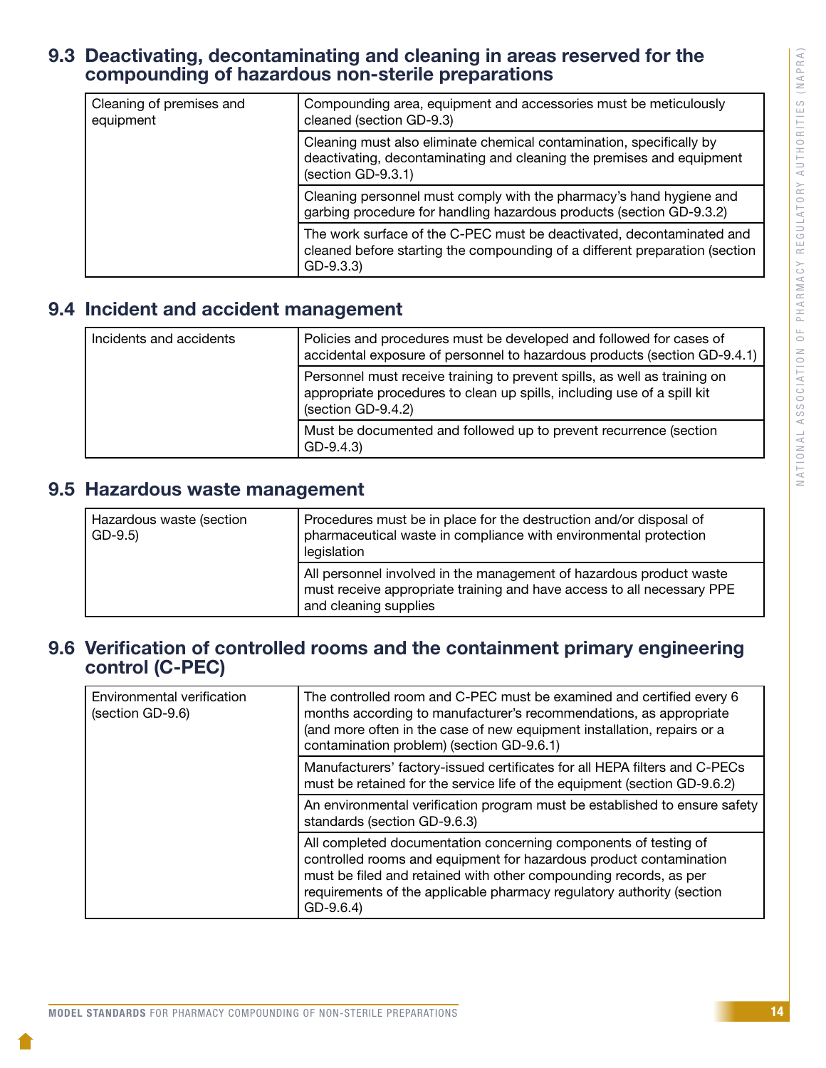### <span id="page-16-0"></span>9.3 Deactivating, decontaminating and cleaning in areas reserved for the compounding of hazardous non-sterile preparations

| Cleaning of premises and<br>equipment | Compounding area, equipment and accessories must be meticulously<br>cleaned (section GD-9.3)                                                                        |
|---------------------------------------|---------------------------------------------------------------------------------------------------------------------------------------------------------------------|
|                                       | Cleaning must also eliminate chemical contamination, specifically by<br>deactivating, decontaminating and cleaning the premises and equipment<br>(section GD-9.3.1) |
|                                       | Cleaning personnel must comply with the pharmacy's hand hygiene and<br>garbing procedure for handling hazardous products (section GD-9.3.2)                         |
|                                       | The work surface of the C-PEC must be deactivated, decontaminated and<br>cleaned before starting the compounding of a different preparation (section<br>$GD-9.3.3$  |

### 9.4 Incident and accident management

| Incidents and accidents | Policies and procedures must be developed and followed for cases of<br>accidental exposure of personnel to hazardous products (section GD-9.4.1)                           |
|-------------------------|----------------------------------------------------------------------------------------------------------------------------------------------------------------------------|
|                         | Personnel must receive training to prevent spills, as well as training on<br>appropriate procedures to clean up spills, including use of a spill kit<br>(section GD-9.4.2) |
|                         | Must be documented and followed up to prevent recurrence (section<br>$GD-9.4.3$                                                                                            |

### 9.5 Hazardous waste management

| Hazardous waste (section<br>$GD-9.5$ | Procedures must be in place for the destruction and/or disposal of<br>pharmaceutical waste in compliance with environmental protection<br>legislation                  |
|--------------------------------------|------------------------------------------------------------------------------------------------------------------------------------------------------------------------|
|                                      | All personnel involved in the management of hazardous product waste<br>must receive appropriate training and have access to all necessary PPE<br>and cleaning supplies |

### 9.6 Verification of controlled rooms and the containment primary engineering control (C-PEC)

| Environmental verification<br>(section GD-9.6) | The controlled room and C-PEC must be examined and certified every 6<br>months according to manufacturer's recommendations, as appropriate<br>(and more often in the case of new equipment installation, repairs or a<br>contamination problem) (section GD-9.6.1)                                |
|------------------------------------------------|---------------------------------------------------------------------------------------------------------------------------------------------------------------------------------------------------------------------------------------------------------------------------------------------------|
|                                                | Manufacturers' factory-issued certificates for all HEPA filters and C-PECs<br>must be retained for the service life of the equipment (section GD-9.6.2)                                                                                                                                           |
|                                                | An environmental verification program must be established to ensure safety<br>standards (section GD-9.6.3)                                                                                                                                                                                        |
|                                                | All completed documentation concerning components of testing of<br>controlled rooms and equipment for hazardous product contamination<br>must be filed and retained with other compounding records, as per<br>requirements of the applicable pharmacy regulatory authority (section<br>$GD-9.6.4$ |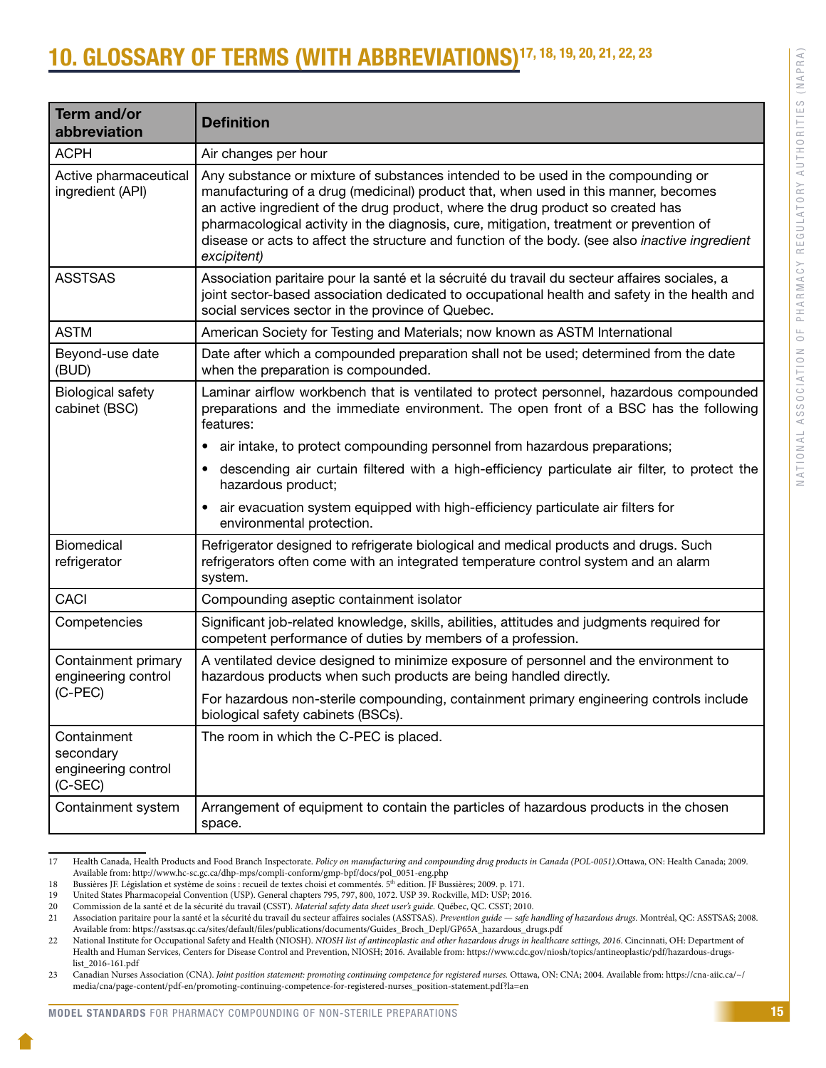# <span id="page-17-0"></span>0. GLOSSARY OF TERMS (WITH ABBREVIATIONS)<sup>17, 18, 19, 20, 21, 22, 23</sup>

| <b>Term and/or</b><br>abbreviation                         | <b>Definition</b>                                                                                                                                                                                                                                                                                                                                                                                                                                                       |
|------------------------------------------------------------|-------------------------------------------------------------------------------------------------------------------------------------------------------------------------------------------------------------------------------------------------------------------------------------------------------------------------------------------------------------------------------------------------------------------------------------------------------------------------|
| <b>ACPH</b>                                                | Air changes per hour                                                                                                                                                                                                                                                                                                                                                                                                                                                    |
| Active pharmaceutical<br>ingredient (API)                  | Any substance or mixture of substances intended to be used in the compounding or<br>manufacturing of a drug (medicinal) product that, when used in this manner, becomes<br>an active ingredient of the drug product, where the drug product so created has<br>pharmacological activity in the diagnosis, cure, mitigation, treatment or prevention of<br>disease or acts to affect the structure and function of the body. (see also inactive ingredient<br>excipitent) |
| <b>ASSTSAS</b>                                             | Association paritaire pour la santé et la sécruité du travail du secteur affaires sociales, a<br>joint sector-based association dedicated to occupational health and safety in the health and<br>social services sector in the province of Quebec.                                                                                                                                                                                                                      |
| <b>ASTM</b>                                                | American Society for Testing and Materials; now known as ASTM International                                                                                                                                                                                                                                                                                                                                                                                             |
| Beyond-use date<br>(BUD)                                   | Date after which a compounded preparation shall not be used; determined from the date<br>when the preparation is compounded.                                                                                                                                                                                                                                                                                                                                            |
| <b>Biological safety</b><br>cabinet (BSC)                  | Laminar airflow workbench that is ventilated to protect personnel, hazardous compounded<br>preparations and the immediate environment. The open front of a BSC has the following<br>features:                                                                                                                                                                                                                                                                           |
|                                                            | air intake, to protect compounding personnel from hazardous preparations;<br>$\bullet$                                                                                                                                                                                                                                                                                                                                                                                  |
|                                                            | descending air curtain filtered with a high-efficiency particulate air filter, to protect the<br>hazardous product;                                                                                                                                                                                                                                                                                                                                                     |
|                                                            | air evacuation system equipped with high-efficiency particulate air filters for<br>$\bullet$<br>environmental protection.                                                                                                                                                                                                                                                                                                                                               |
| Biomedical<br>refrigerator                                 | Refrigerator designed to refrigerate biological and medical products and drugs. Such<br>refrigerators often come with an integrated temperature control system and an alarm<br>system.                                                                                                                                                                                                                                                                                  |
| <b>CACI</b>                                                | Compounding aseptic containment isolator                                                                                                                                                                                                                                                                                                                                                                                                                                |
| Competencies                                               | Significant job-related knowledge, skills, abilities, attitudes and judgments required for<br>competent performance of duties by members of a profession.                                                                                                                                                                                                                                                                                                               |
| Containment primary<br>engineering control<br>$(C-PEC)$    | A ventilated device designed to minimize exposure of personnel and the environment to<br>hazardous products when such products are being handled directly.                                                                                                                                                                                                                                                                                                              |
|                                                            | For hazardous non-sterile compounding, containment primary engineering controls include<br>biological safety cabinets (BSCs).                                                                                                                                                                                                                                                                                                                                           |
| Containment<br>secondary<br>engineering control<br>(C-SEC) | The room in which the C-PEC is placed.                                                                                                                                                                                                                                                                                                                                                                                                                                  |
| Containment system                                         | Arrangement of equipment to contain the particles of hazardous products in the chosen<br>space.                                                                                                                                                                                                                                                                                                                                                                         |

<sup>17</sup> Health Canada, Health Products and Food Branch Inspectorate. *Policy on manufacturing and compounding drug products in Canada (POL-0051)*.Ottawa, ON: Health Canada; 2009. Available from: http://www.hc-sc.gc.ca/dhp-mps/compli-conform/gmp-bpf/docs/pol\_0051-eng.php

<sup>18</sup> Bussières JF. Législation et système de soins : recueil de textes choisi et commentés. 5<sup>th</sup> edition. JF Bussières; 2009. p. 171.<br>19 Il pried States Pharmaconeial Convention (USP). General chanters 795–797–800-1072-USP-

<sup>19</sup> United States Pharmacopeial Convention (USP). General chapters 795, 797, 800, 1072. USP 39. Rockville, MD: USP; 2016.

<sup>20</sup> Commission de la santé et de la sécurité du travail (CSST). *Material safety data sheet user's guide*. Québec, QC. CSST; 2010.<br>21 Association paritaire pour la santé et la sécurité du travail du secteur affaires sociale

<sup>21</sup> Association paritaire pour la santé et la sécurité du travail du secteur affaires sociales (ASSTSAS). *Prevention guide* — *safe handling of hazardous drugs.* Montréal, QC: ASSTSAS; 2008. Available from: https://asstsas.qc.ca/sites/default/files/publications/documents/Guides\_Broch\_Depl/GP65A\_hazardous\_drugs.pdf

<sup>22</sup> National Institute for Occupational Safety and Health (NIOSH). *NIOSH list of antineoplastic and other hazardous drugs in healthcare settings*, 2016. Cincinnati, OH: Department of Health and Human Services, Centers for Disease Control and Prevention, NIOSH; 2016. Available from: https://www.cdc.gov/niosh/topics/antineoplastic/pdf/hazardous-drugslist\_2016-161.pdf

<sup>23</sup> Canadian Nurses Association (CNA). *Joint position statement: promoting continuing competence for registered nurses.* Ottawa, ON: CNA; 2004. Available from: [https://cna-aiic.ca/~/](https://cna-aiic.ca/~/media/cna/page-content/pdf-en/promoting-continuing-competence-for-registered-nurses_position-statement.pdf?la=en) [media/cna/page-content/pdf-en/promoting-continuing-competence-for-registered-nurses\\_position-statement.pdf?la=en](https://cna-aiic.ca/~/media/cna/page-content/pdf-en/promoting-continuing-competence-for-registered-nurses_position-statement.pdf?la=en)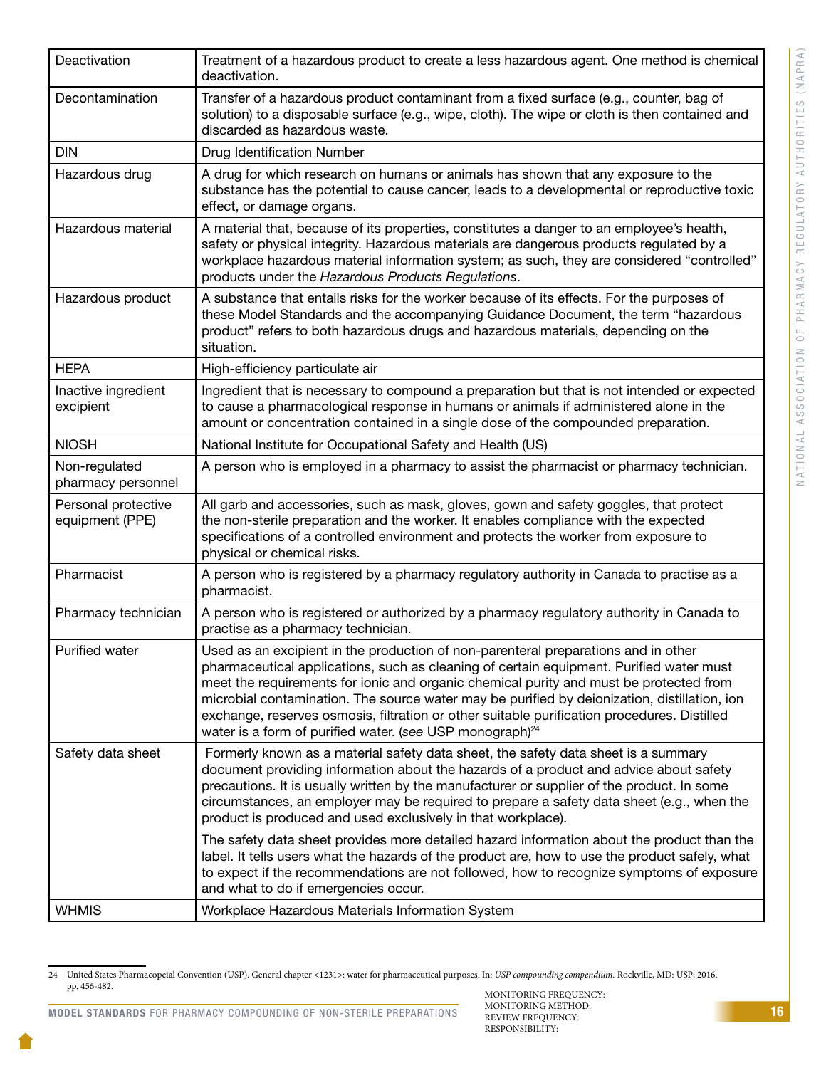| Deactivation                           | Treatment of a hazardous product to create a less hazardous agent. One method is chemical<br>deactivation.                                                                                                                                                                                                                                                                                                                                                                                                                                     |
|----------------------------------------|------------------------------------------------------------------------------------------------------------------------------------------------------------------------------------------------------------------------------------------------------------------------------------------------------------------------------------------------------------------------------------------------------------------------------------------------------------------------------------------------------------------------------------------------|
| Decontamination                        | Transfer of a hazardous product contaminant from a fixed surface (e.g., counter, bag of<br>solution) to a disposable surface (e.g., wipe, cloth). The wipe or cloth is then contained and<br>discarded as hazardous waste.                                                                                                                                                                                                                                                                                                                     |
| <b>DIN</b>                             | Drug Identification Number                                                                                                                                                                                                                                                                                                                                                                                                                                                                                                                     |
| Hazardous drug                         | A drug for which research on humans or animals has shown that any exposure to the<br>substance has the potential to cause cancer, leads to a developmental or reproductive toxic<br>effect, or damage organs.                                                                                                                                                                                                                                                                                                                                  |
| Hazardous material                     | A material that, because of its properties, constitutes a danger to an employee's health,<br>safety or physical integrity. Hazardous materials are dangerous products regulated by a<br>workplace hazardous material information system; as such, they are considered "controlled"<br>products under the Hazardous Products Regulations.                                                                                                                                                                                                       |
| Hazardous product                      | A substance that entails risks for the worker because of its effects. For the purposes of<br>these Model Standards and the accompanying Guidance Document, the term "hazardous<br>product" refers to both hazardous drugs and hazardous materials, depending on the<br>situation.                                                                                                                                                                                                                                                              |
| <b>HEPA</b>                            | High-efficiency particulate air                                                                                                                                                                                                                                                                                                                                                                                                                                                                                                                |
| Inactive ingredient<br>excipient       | Ingredient that is necessary to compound a preparation but that is not intended or expected<br>to cause a pharmacological response in humans or animals if administered alone in the<br>amount or concentration contained in a single dose of the compounded preparation.                                                                                                                                                                                                                                                                      |
| <b>NIOSH</b>                           | National Institute for Occupational Safety and Health (US)                                                                                                                                                                                                                                                                                                                                                                                                                                                                                     |
| Non-regulated<br>pharmacy personnel    | A person who is employed in a pharmacy to assist the pharmacist or pharmacy technician.                                                                                                                                                                                                                                                                                                                                                                                                                                                        |
| Personal protective<br>equipment (PPE) | All garb and accessories, such as mask, gloves, gown and safety goggles, that protect<br>the non-sterile preparation and the worker. It enables compliance with the expected<br>specifications of a controlled environment and protects the worker from exposure to<br>physical or chemical risks.                                                                                                                                                                                                                                             |
| Pharmacist                             | A person who is registered by a pharmacy regulatory authority in Canada to practise as a<br>pharmacist.                                                                                                                                                                                                                                                                                                                                                                                                                                        |
| Pharmacy technician                    | A person who is registered or authorized by a pharmacy regulatory authority in Canada to<br>practise as a pharmacy technician.                                                                                                                                                                                                                                                                                                                                                                                                                 |
| Purified water                         | Used as an excipient in the production of non-parenteral preparations and in other<br>pharmaceutical applications, such as cleaning of certain equipment. Purified water must<br>meet the requirements for ionic and organic chemical purity and must be protected from<br>microbial contamination. The source water may be purified by deionization, distillation, ion<br>exchange, reserves osmosis, filtration or other suitable purification procedures. Distilled<br>water is a form of purified water. (see USP monograph) <sup>24</sup> |
| Safety data sheet                      | Formerly known as a material safety data sheet, the safety data sheet is a summary<br>document providing information about the hazards of a product and advice about safety<br>precautions. It is usually written by the manufacturer or supplier of the product. In some<br>circumstances, an employer may be required to prepare a safety data sheet (e.g., when the<br>product is produced and used exclusively in that workplace).                                                                                                         |
|                                        | The safety data sheet provides more detailed hazard information about the product than the<br>label. It tells users what the hazards of the product are, how to use the product safely, what<br>to expect if the recommendations are not followed, how to recognize symptoms of exposure<br>and what to do if emergencies occur.                                                                                                                                                                                                               |
| <b>WHMIS</b>                           | Workplace Hazardous Materials Information System                                                                                                                                                                                                                                                                                                                                                                                                                                                                                               |

<sup>24</sup> United States Pharmacopeial Convention (USP). General chapter <1231>: water for pharmaceutical purposes. In: *USP compounding compendium.* Rockville, MD: USP; 2016. pp. 456-482. MONITORING FREQUENCY: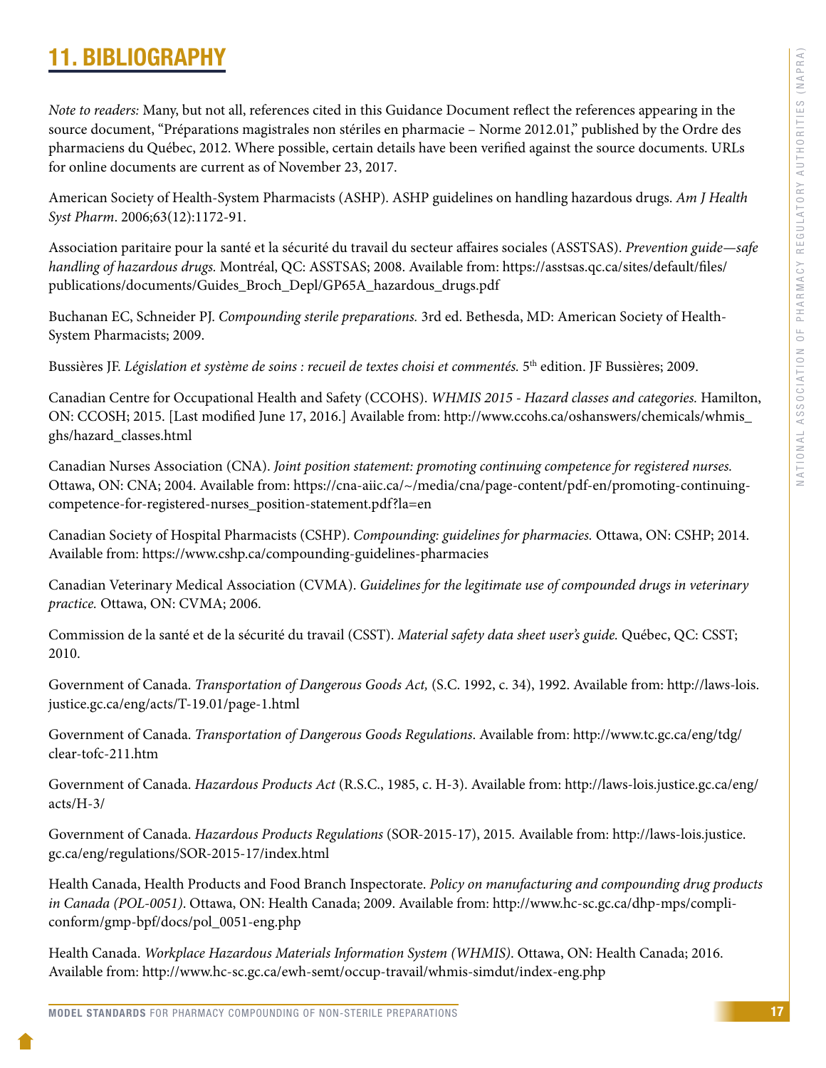# <span id="page-19-0"></span>11. BIBLIOGRAPHY

*Note to readers:* Many, but not all, references cited in this Guidance Document reflect the references appearing in the source document, "Préparations magistrales non stériles en pharmacie – Norme 2012.01," published by the Ordre des pharmaciens du Québec, 2012. Where possible, certain details have been verified against the source documents. URLs for online documents are current as of November 23, 2017.

American Society of Health-System Pharmacists (ASHP). ASHP guidelines on handling hazardous drugs. *Am J Health Syst Pharm*. 2006;63(12):1172-91.

Association paritaire pour la santé et la sécurité du travail du secteur affaires sociales (ASSTSAS). *Prevention guide—safe handling of hazardous drugs.* Montréal, QC: ASSTSAS; 2008. Available from: [https://asstsas.qc.ca/sites/default/files/](https://asstsas.qc.ca/sites/default/files/publications/documents/Guides_Broch_Depl/GP65A_hazardous_drugs.pdf) [publications/documents/Guides\\_Broch\\_Depl/GP65A\\_hazardous\\_drugs.pdf](https://asstsas.qc.ca/sites/default/files/publications/documents/Guides_Broch_Depl/GP65A_hazardous_drugs.pdf)

Buchanan EC, Schneider PJ. *Compounding sterile preparations.* 3rd ed. Bethesda, MD: American Society of Health-System Pharmacists; 2009.

Bussières JF. *Législation et système de soins : recueil de textes choisi et commentés.* 5<sup>th</sup> edition. JF Bussières; 2009.

Canadian Centre for Occupational Health and Safety (CCOHS). *WHMIS 2015 - Hazard classes and categories.* Hamilton, ON: CCOSH; 2015. [Last modified June 17, 2016.] Available from: [http://www.ccohs.ca/oshanswers/chemicals/whmis\\_](http://www.ccohs.ca/oshanswers/chemicals/whmis_ghs/hazard_classes.html) [ghs/hazard\\_classes.html](http://www.ccohs.ca/oshanswers/chemicals/whmis_ghs/hazard_classes.html)

Canadian Nurses Association (CNA). *Joint position statement: promoting continuing competence for registered nurses.* Ottawa, ON: CNA; 2004. Available from: https://cna-aiic.ca/~/media/cna/page-content/pdf-en/promoting-continuingcompetence-for-registered-nurses\_position-statement.pdf?la=en

Canadian Society of Hospital Pharmacists (CSHP). *Compounding: guidelines for pharmacies.* Ottawa, ON: CSHP; 2014. Available from: https://www.cshp.ca/compounding-guidelines-pharmacies

Canadian Veterinary Medical Association (CVMA). *Guidelines for the legitimate use of compounded drugs in veterinary practice.* Ottawa, ON: CVMA; 2006.

Commission de la santé et de la sécurité du travail (CSST). *Material safety data sheet user's guide.* Québec, QC: CSST; 2010.

Government of Canada. *Transportation of Dangerous Goods Act,* (S.C. 1992, c. 34), 1992. Available from: [http://laws-lois.](http://laws-lois.justice.gc.ca/eng/acts/T-19.01/page-1.html) [justice.gc.ca/eng/acts/T-19.01/page-1.html](http://laws-lois.justice.gc.ca/eng/acts/T-19.01/page-1.html)

Government of Canada. *Transportation of Dangerous Goods Regulations*. Available from: [http://www.tc.gc.ca/eng/tdg/](http://www.tc.gc.ca/eng/tdg/clear-tofc-211.htm) [clear-tofc-211.htm](http://www.tc.gc.ca/eng/tdg/clear-tofc-211.htm)

Government of Canada. *Hazardous Products Act* (R.S.C., 1985, c. H-3). Available from: [http://laws-lois.justice.gc.ca/eng/](http://laws-lois.justice.gc.ca/eng/acts/H-3/) [acts/H-3/](http://laws-lois.justice.gc.ca/eng/acts/H-3/)

Government of Canada. *Hazardous Products Regulations* (SOR-2015-17), 2015*.* Available from: [http://laws-lois.justice.](http://laws-lois.justice.gc.ca/eng/regulations/SOR-2015-17/index.html) [gc.ca/eng/regulations/SOR-2015-17/index.html](http://laws-lois.justice.gc.ca/eng/regulations/SOR-2015-17/index.html)

Health Canada, Health Products and Food Branch Inspectorate. *Policy on manufacturing and compounding drug products in Canada (POL-0051)*. Ottawa, ON: Health Canada; 2009. Available from: http://www.hc-sc.gc.ca/dhp-mps/compliconform/gmp-bpf/docs/pol\_0051-eng.php

Health Canada. *Workplace Hazardous Materials Information System (WHMIS)*. Ottawa, ON: Health Canada; 2016. Available from: http://www.hc-sc.gc.ca/ewh-semt/occup-travail/whmis-simdut/index-eng.php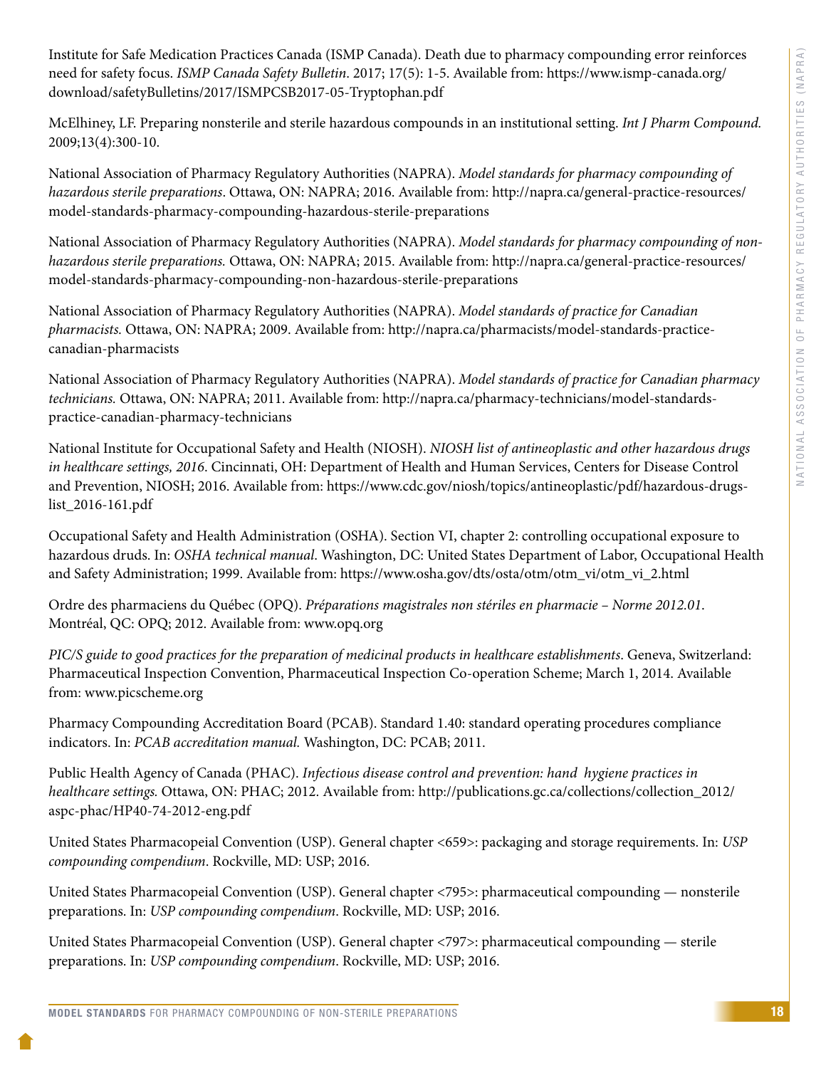Institute for Safe Medication Practices Canada (ISMP Canada). Death due to pharmacy compounding error reinforces need for safety focus. *ISMP Canada Safety Bulletin*. 2017; 17(5): 1-5. Available from: [https://www.ismp-canada.org/](https://www.ismp-canada.org/download/safetyBulletins/2017/ISMPCSB2017-05-Tryptophan.pdf) [download/safetyBulletins/2017/ISMPCSB2017-05-Tryptophan.pdf](https://www.ismp-canada.org/download/safetyBulletins/2017/ISMPCSB2017-05-Tryptophan.pdf) 

McElhiney, LF. Preparing nonsterile and sterile hazardous compounds in an institutional setting. *Int J Pharm Compound.* 2009;13(4):300-10.

National Association of Pharmacy Regulatory Authorities (NAPRA). *Model standards for pharmacy compounding of hazardous sterile preparations*. Ottawa, ON: NAPRA; 2016. Available from: [http://napra.ca/general-practice-resources/](http://napra.ca/general-practice-resources/model-standards-pharmacy-compounding-hazardous-sterile-preparations) [model-standards-pharmacy-compounding-hazardous-sterile-preparations](http://napra.ca/general-practice-resources/model-standards-pharmacy-compounding-hazardous-sterile-preparations) 

National Association of Pharmacy Regulatory Authorities (NAPRA). *Model standards for pharmacy compounding of nonhazardous sterile preparations.* Ottawa, ON: NAPRA; 2015. Available from: [http://napra.ca/general-practice-resources/](http://napra.ca/general-practice-resources/model-standards-pharmacy-compounding-non-hazardous-sterile-preparations) [model-standards-pharmacy-compounding-non-hazardous-sterile-preparations](http://napra.ca/general-practice-resources/model-standards-pharmacy-compounding-non-hazardous-sterile-preparations)

National Association of Pharmacy Regulatory Authorities (NAPRA). *Model standards of practice for Canadian pharmacists.* Ottawa, ON: NAPRA; 2009. Available from: http://napra.ca/pharmacists/model-standards-practicecanadian-pharmacists

National Association of Pharmacy Regulatory Authorities (NAPRA). *Model standards of practice for Canadian pharmacy technicians.* Ottawa, ON: NAPRA; 2011. Available from: http://napra.ca/pharmacy-technicians/model-standardspractice-canadian-pharmacy-technicians

National Institute for Occupational Safety and Health (NIOSH). *NIOSH list of antineoplastic and other hazardous drugs in healthcare settings, 2016*. Cincinnati, OH: Department of Health and Human Services, Centers for Disease Control and Prevention, NIOSH; 2016. Available from: https://www.cdc.gov/niosh/topics/antineoplastic/pdf/hazardous-drugslist\_2016-161.pdf

Occupational Safety and Health Administration (OSHA). Section VI, chapter 2: controlling occupational exposure to hazardous druds. In: *OSHA technical manual*. Washington, DC: United States Department of Labor, Occupational Health and Safety Administration; 1999. Available from: https://www.osha.gov/dts/osta/otm/otm\_vi/otm\_vi\_2.html

Ordre des pharmaciens du Québec (OPQ). *Préparations magistrales non stériles en pharmacie – Norme 2012.01*. Montréal, QC: OPQ; 2012. Available from: www.opq.org

*PIC/S guide to good practices for the preparation of medicinal products in healthcare establishments*. Geneva, Switzerland: Pharmaceutical Inspection Convention, Pharmaceutical Inspection Co-operation Scheme; March 1, 2014. Available from: www.picscheme.org

Pharmacy Compounding Accreditation Board (PCAB). Standard 1.40: standard operating procedures compliance indicators. In: *PCAB accreditation manual.* Washington, DC: PCAB; 2011.

Public Health Agency of Canada (PHAC). *Infectious disease control and prevention: hand hygiene practices in healthcare settings.* Ottawa, ON: PHAC; 2012. Available from: http://publications.gc.ca/collections/collection\_2012/ aspc-phac/HP40-74-2012-eng.pdf

United States Pharmacopeial Convention (USP). General chapter <659>: packaging and storage requirements. In: *USP compounding compendium*. Rockville, MD: USP; 2016.

United States Pharmacopeial Convention (USP). General chapter <795>: pharmaceutical compounding — nonsterile preparations. In: *USP compounding compendium*. Rockville, MD: USP; 2016.

United States Pharmacopeial Convention (USP). General chapter <797>: pharmaceutical compounding — sterile preparations. In: *USP compounding compendium*. Rockville, MD: USP; 2016.